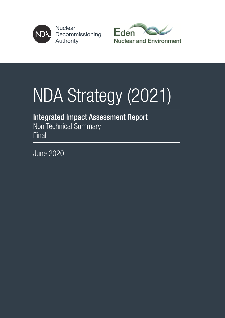

**Nuclear** Decommissioning **Authority** 



# NDA Strategy (2021)

# Integrated Impact Assessment Report Non Technical Summary

**Final** 

June 2020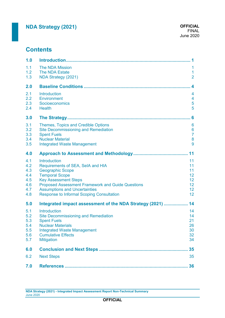# **Contents**

| 1.0                                                  |                                                                                                                                                                                                                                                                                              | 1                                                              |
|------------------------------------------------------|----------------------------------------------------------------------------------------------------------------------------------------------------------------------------------------------------------------------------------------------------------------------------------------------|----------------------------------------------------------------|
| 1.1<br>1.2<br>1.3                                    | <b>The NDA Mission</b><br>The NDA Estate<br>NDA Strategy (2021)                                                                                                                                                                                                                              | 1<br>1<br>$\overline{2}$                                       |
| 2.0                                                  |                                                                                                                                                                                                                                                                                              | $\boldsymbol{4}$                                               |
| 2.1<br>2.2<br>2.3<br>2.4                             | <b>Introduction</b><br>Environment<br>Socioeconomics<br><b>Health</b>                                                                                                                                                                                                                        | 4<br>4<br>5<br>5                                               |
| 3.0                                                  |                                                                                                                                                                                                                                                                                              | 6                                                              |
| 3.1<br>3.2<br>3.3<br>3.4<br>3.5                      | Themes, Topics and Credible Options<br><b>Site Decommissioning and Remediation</b><br><b>Spent Fuels</b><br><b>Nuclear Material</b><br><b>Integrated Waste Management</b>                                                                                                                    | $6\phantom{1}6$<br>$6\phantom{1}6$<br>$\overline{7}$<br>8<br>9 |
| 4.0                                                  |                                                                                                                                                                                                                                                                                              | 11                                                             |
| 4.1<br>4.2<br>4.3<br>4.4<br>4.5<br>4.6<br>4.7<br>4.8 | Introduction<br>Requirements of SEA, SeIA and HIA<br><b>Geographic Scope</b><br><b>Temporal Scope</b><br><b>Key Assessment Steps</b><br><b>Proposed Assessment Framework and Guide Questions</b><br><b>Assumptions and Uncertainties</b><br><b>Response to Informal Scoping Consultation</b> | 11<br>11<br>11<br>12<br>12<br>12<br>12<br>12                   |
| 5.0                                                  | Integrated impact assessment of the NDA Strategy (2021)                                                                                                                                                                                                                                      | 14                                                             |
| 5.1<br>5.2<br>5.3<br>5.4<br>5.5<br>5.6<br>5.7        | Introduction<br><b>Site Decommissioning and Remediation</b><br><b>Spent Fuels</b><br><b>Nuclear Materials</b><br><b>Integrated Waste Management</b><br><b>Cumulative Effects</b><br><b>Mitigation</b>                                                                                        | 14<br>14<br>21<br>26<br>30<br>32<br>34                         |
| 6.0                                                  |                                                                                                                                                                                                                                                                                              | 35                                                             |
| 6.2                                                  | <b>Next Steps</b>                                                                                                                                                                                                                                                                            | 35                                                             |
| 7.0                                                  |                                                                                                                                                                                                                                                                                              | 36                                                             |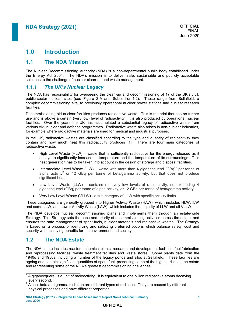# **1.0 Introduction**

### **1.1 The NDA Mission**

The Nuclear Decommissioning Authority (NDA) is a non-departmental public body established under the Energy Act 2004. The NDA's mission is to deliver safe, sustainable and publicly acceptable solutions to the challenge of nuclear clean-up and waste management.

### *1.1.1 The UK's Nuclear Legacy*

The NDA has responsibility for overseeing the clean-up and decommissioning of 17 of the UK's civil, public-sector nuclear sites (see Figure 2-A and Subsection [1.2\)](#page-2-0). These range from Sellafield, a complex decommissioning site, to previously operational nuclear power stations and nuclear research **facilities** 

Decommissioning old nuclear facilities produces radioactive waste. This is material that has no further use and is above a certain (very low) level of radioactivity. It is also produced by operational nuclear facilities. Over the years the UK has accumulated a substantial legacy of radioactive waste from various civil nuclear and defence programmes. Radioactive waste also arises in non-nuclear industries, for example where radioactive materials are used for medical and industrial purposes.

In the UK, radioactive wastes are classified according to the type and quantity of radioactivity they contain and how much heat this radioactivity produces [1]. There are four main categories of radioactive waste:

- High Level Waste (HLW) waste that is sufficiently radioactive for the energy released as it decays to significantly increase its temperature and the temperature of its surroundings. This heat generation has to be taken into account in the design of storage and disposal facilities.
- Intermediate Level Waste (ILW) waste with more than 4 gigabecquerel (GBq)<sup>1</sup> per tonne of alpha activity<sup>2</sup> or 12 GBq per tonne of beta/gamma activity, but that does not produce significant heat.
- Low Level Waste (LLW) contains relatively low levels of radioactivity, not exceeding 4 gigabecquerel (GBq) per tonne of alpha activity, or 12 GBq per tonne of beta/gamma activity.
- Very Low Level Waste (VLLW) a sub-category of LLW with specific activity limits.

These categories are generally grouped into Higher Activity Waste (HAW), which includes HLW, ILW and some LLW, and Lower Activity Waste (LAW), which includes the majority of LLW and all VLLW.

The NDA develops nuclear decommissioning plans and implements them through an estate-wide Strategy. This Strategy sets the pace and priority of decommissioning activities across the estate, and ensures the safe management of spent fuels, nuclear materials and radioactive wastes. The Strategy is based on a process of identifying and selecting preferred options which balance safety, cost and security with achieving benefits for the environment and society.

### <span id="page-2-0"></span>**1.2 The NDA Estate**

The NDA estate includes reactors, chemical plants, research and development facilities, fuel fabrication and reprocessing facilities, waste treatment facilities and waste stores. Some plants date from the 1940s and 1950s, including a number of the legacy ponds and silos at Sellafield. These facilities are ageing and contain significant quantities of spent fuel, presenting some of the highest risks in the estate and representing some of the NDA's greatest decommissioning challenges.

 $\frac{1}{1}$  A gigabecquerel is a unit of radioactivity. It is equivalent to one billion radioactive atoms decaying every second.

 $2$  Alpha, beta and gamma radiation are different types of radiation. They are caused by different physical processes and have different properties.

**NDA Strategy (2021) - Integrated Impact Assessment Report Non-Technical Summary 1** June 2020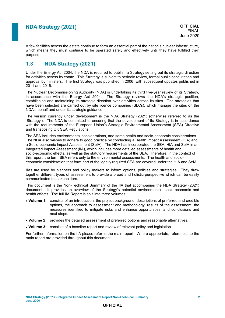A few facilities across the estate continue to form an essential part of the nation's nuclear infrastructure, which means they must continue to be operated safely and effectively until they have fulfilled their purpose.

### **1.3 NDA Strategy (2021)**

Under the Energy Act 2004, the NDA is required to publish a Strategy setting out its strategic direction for activities across its estate. This Strategy is subject to periodic review, formal public consultation and approval by ministers. The first Strategy was published in 2006, with subsequent updates published in 2011 and 2016.

The Nuclear Decommissioning Authority (NDA) is undertaking its third five-year review of its Strategy, in accordance with the Energy Act 2004. The Strategy reviews the NDA's strategic position, establishing and maintaining its strategic direction over activities across its sites. The strategies that have been selected are carried out by site licence companies (SLCs), which manage the sites on the NDA's behalf and under its strategic guidance.

The version currently under development is the NDA Strategy (2021) (otherwise referred to as the 'Strategy'). The NDA is committed to ensuring that the development of its Strategy is in accordance with the requirements of the European Union's Strategic Environmental Assessment (SEA) Directive and transposing UK SEA Regulations.

The SEA includes environmental considerations, and some health and socio-economic considerations. The NDA also wishes to adhere to good practice by conducting a Health Impact Assessment (HIA) and a Socio-economic Impact Assessment (SeIA). The NDA has incorporated the SEA, HIA and SeIA in an Integrated Impact Assessment (IIA), which includes more detailed assessments of health and socio-economic effects, as well as the statutory requirements of the SEA. Therefore, in the context of this report, the term SEA refers only to the environmental assessments. The health and socioeconomic consideration that form part of the legally required SEA are covered under the HIA and SeIA.

IIAs are used by planners and policy makers to inform options, policies and strategies. They draw together different types of assessment to provide a broad and holistic perspective which can be easily communicated to stakeholders.

This document is the Non-Technical Summary of the IIA that accompanies the NDA Strategy (2021) document. It provides an overview of the Strategy's potential environmental, socio-economic and health effects. The full IIA Report is split into three volumes:

- **Volume 1:** consists of an introduction, the project background, descriptions of preferred and credible options, the approach to assessment and methodology, results of the assessment, the measures identified to mitigate risks and enhance opportunities, and conclusions and next steps.
- **Volume 2:** provides the detailed assessment of preferred options and reasonable alternatives.
- **Volume 3:** consists of a baseline report and review of relevant policy and legislation.

For further information on the IIA please refer to the main report. Where appropriate, references to the main report are provided throughout this document.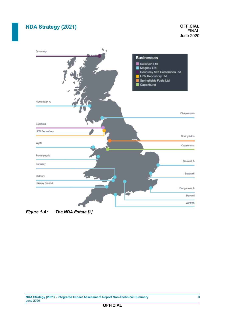

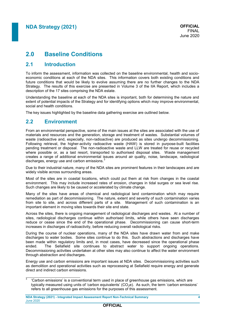# **2.0 Baseline Conditions**

### **2.1 Introduction**

To inform the assessment, information was collected on the baseline environmental, health and socioeconomic conditions at each of the NDA sites. This information covers both existing conditions and future conditions that would be likely to evolve assuming there are no further changes to the NDA Strategy. The results of this exercise are presented in Volume 3 of the IIA Report, which includes a description of the 17 sites comprising the NDA estate.

Understanding the baseline at each of the NDA sites is important, both for determining the nature and extent of potential impacts of the Strategy and for identifying options which may improve environmental. social and health conditions.

The key issues highlighted by the baseline data gathering exercise are outlined below.

### **2.2 Environment**

ÿ

From an environmental perspective, some of the main issues at the sites are associated with the use of materials and resources and the generation, storage and treatment of wastes. Substantial volumes of waste (radioactive and, especially, non-radioactive) are produced as sites undergo decommissioning. Following retrieval, the higher-activity radioactive waste (HAW) is stored in purpose-built facilities pending treatment or disposal. The non-radioactive waste and LLW are treated for reuse or recycled where possible or, as a last resort, transported to authorised disposal sites. Waste management creates a range of additional environmental issues around air quality, noise, landscape, radiological discharges, energy use and carbon emissions.<sup>3</sup>

Due to their industrial nature, many of the NDA sites are prominent features in their landscapes and are widely visible across surrounding areas.

Most of the sites are in coastal locations, which could put them at risk from changes in the coastal environment. This may include increased rates of erosion, changes in tidal surges or sea level rise. Such changes are likely to be caused or accelerated by climate change.

Many of the sites have areas of chemical and radiological land contamination which may require remediation as part of decommissioning. The nature, extent and severity of such contamination varies from site to site, and across different parts of a site. Management of such contamination is an important element in moving sites towards their site end state.

Across the sites, there is ongoing management of radiological discharges and wastes. At a number of sites, radiological discharges continue within authorised limits, while others have seen discharges reduce or cease since the end of the operational phase. Decommissioning can cause short-term increases in discharges of radioactivity, before reducing overall radiological risks.

During the course of nuclear operations, many of the NDA sites have drawn water from and make discharges to water bodies. Some sites continue to do this. Such abstractions and discharges have been made within regulatory limits and, in most cases, have decreased since the operational phase ended. The Sellafield site continues to abstract water to support ongoing operations. Decommissioning activities undertaken at other sites may also continue to affect the water environment through abstraction and discharges.

Energy use and carbon emissions are important issues at NDA sites. Decommissioning activities such as demolition and operational activities such as reprocessing at Sellafield require energy and generate direct and indirect carbon emissions.

<sup>3</sup> 'Carbon emissions' is a conventional term used in place of greenhouse gas emissions, which are typically measured using units of 'carbon equivalents'  $(CO<sub>2</sub>e)$ . As such, the term 'carbon emissions' refers to all greenhouse gas emissions for the purposes of this assessment.

**NDA Strategy (2021) - Integrated Impact Assessment Report Non-Technical Summary 4** June 2020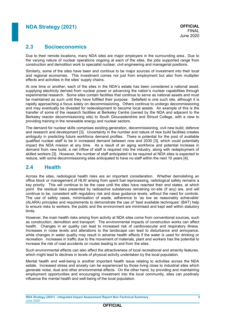### **2.3 Socioeconomics**

Due to their remote locations, many NDA sites are major employers in the surrounding area., Due to the varying nature of nuclear operations ongoing at each of the sites, the jobs supported range from construction and demolition work to specialist nuclear, civil engineering and managerial positions.

Similarly, some of the sites have been and continue to be major sources of investment into their local and regional economies. This investment comes not just from employment but also from multiplier effects and activities in the sites' supply chains.

At one time or another, each of the sites in the NDA's estate has been considered a national asset, supplying electricity derived from nuclear power or advancing the nation's nuclear capabilities through experimental research. Some sites contain facilities that continue to serve as national assets and must be maintained as such until they have fulfilled their purpose. Sellafield is one such site, although it is rapidly approaching a focus solely on decommissioning. Others continue to undergo decommissioning and may eventually be divested for redevelopment to become local assets. An example of this is the transfer of some of the research facilities at Berkeley Centre (owned by the NDA and adjacent to the Berkeley reactor decommissioning site) to South Gloucestershire and Stroud College, with a view to providing training in the renewable energy and nuclear sectors.

<span id="page-6-0"></span>The demand for nuclear skills comprises existing generation, decommissioning, civil new build, defence and research and development [3]. Uncertainty in the number and nature of new build facilities creates ambiguity in predicting future workforce demand profiles. There is potential for the pool of available qualified nuclear staff to be in increased demand between now and 2030 [\[3\]](#page-6-0), which could potentially impact the NDA mission at any time. As a result of an aging workforce and potential increase in demand from new build, a net inflow of staff is required into the industry, along with redeployment of skilled workers [\[3\]](#page-6-0). However, the number of staff anticipated to be required at NDA sites is expected to reduce, with some decommissioning sites anticipated to have no staff within the next 10 years [4].

### **2.4 Health**

Across the sites, radiological health risks are an important consideration. Whether demolishing an office block or management of HLW arising from spent fuel reprocessing, radiological safety remains a key priority. This will continue to be the case until the sites have reached their end states, at which point the residual risks presented by radioactive substances remaining on-site (if any) are, and will continue to be, consistent with regulatory risk and dose guidance levels, without the need for controls. The use of safety cases, minimisation of waste, adherence to 'as low as reasonably achievable' (ALARA) principles and requirements to demonstrate the use of 'best available techniques' (BAT) help to ensure risks to workers, the public and the environment are minimised and kept well within statutory limits.

However, the main health risks arising from activity at NDA sites come from conventional sources, such as construction, demolition and transport. The environmental impacts of construction works can affect health. Changes in air quality can lead to increased risk of cardiovascular and respiratory illness. Increases in noise levels and alterations to the landscape can lead to disturbance and annoyance, while changes in water quality may result in adverse health effects if the water is used for drinking or recreation. Increases in traffic due to the movement of materials, plant and workers has the potential to increase the risk of road accidents on routes leading to and from the sites.

Such environmental effects can also affect the attractiveness of local recreational and amenity features, which might lead to declines in levels of physical activity undertaken by the local population.

Mental health and well-being is another important health issue relating to activities across the NDA estate. Increased stress and anxiety can be experienced by those living close to industrial sites which generate noise, dust and other environmental effects. On the other hand, by providing and maintaining employment opportunities and encouraging investment into the local community, sites can positively influence the mental health and well-being of the local population.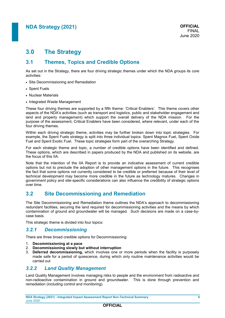# **3.0 The Strategy**

### **3.1 Themes, Topics and Credible Options**

As set out in the Strategy, there are four driving strategic themes under which the NDA groups its core activities:

- Site Decommissioning and Remediation
- Spent Fuels
- Nuclear Materials
- Integrated Waste Management

These four driving themes are supported by a fifth theme: 'Critical Enablers'. This theme covers other aspects of the NDA's activities (such as transport and logistics, public and stakeholder engagement and land and property management) which support the overall delivery of the NDA mission. For the purpose of the assessment, Critical Enablers have been considered, where relevant, under each of the four driving themes.

Within each driving strategic theme, activities may be further broken down into topic strategies. For example, the Spent Fuels strategy is split into three individual topics: Spent Magnox Fuel, Spent Oxide Fuel and Spent Exotic Fuel. These topic strategies form part of the overarching Strategy.

For each strategic theme and topic, a number of credible options have been identified and defined. These options, which are described in papers produced by the NDA and published on its website, are the focus of this IIA.

Note that the intention of the IIA Report is to provide an indicative assessment of current credible options but not to preclude the adoption of other management options in the future. This recognises the fact that some options not currently considered to be credible or preferred because of their level of technical development may become more credible in the future as technology matures. Changes in government policy and site-specific considerations can also influence the credibility of strategic options over time.

### **3.2 Site Decommissioning and Remediation**

The Site Decommissioning and Remediation theme outlines the NDA's approach to decommissioning redundant facilities, securing the land required for decommissioning activities and the means by which contamination of ground and groundwater will be managed. Such decisions are made on a case-bycase basis.

This strategic theme is divided into four topics:

### <span id="page-7-0"></span>*3.2.1 Decommissioning*

There are three broad credible options for Decommissioning:

- 1. **Decommissioning at a pace**
- 2. **Decommissioning slowly but without interruption**
- 3. **Deferred decommissioning,** which involves one or more periods when the facility is purposely made safe for a period of quiescence, during which only routine maintenance activities would be carried out

### *3.2.2 Land Quality Management*

Land Quality Management involves managing risks to people and the environment from radioactive and non-radioactive contamination in ground and groundwater. This is done through prevention and remediation (including control and monitoring).

**NDA Strategy (2021) - Integrated Impact Assessment Report Non-Technical Summary 6** June 2020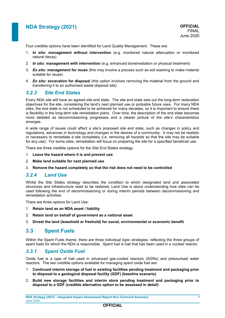Four credible options have been identified for Land Quality Management. These are:

- 1. *In situ***: management without intervention** (e.g. monitored natural attenuation or monitored natural decay)
- 2. *In situ***: management with intervention** (e.g. enhanced bioremediation or physical treatment)
- 3. *Ex situ***: management for reuse** (this may involve a process such as soil washing to make material suitable for reuse)
- 4. *Ex situ***: excavation for disposal** (this option involves removing the material from the ground and transferring it to an authorised waste disposal site)

### <span id="page-8-0"></span>*3.2.3 Site End States*

Every NDA site will have an agreed site end state. The site end state sets out the long-term restoration objectives for the site, considering the land's next planned use or probable future uses. For many NDA sites, the end state is not scheduled to be achieved for many decades, so it is important to ensure there is flexibility in the long-term site remediation plans. Over time, the description of the end state becomes more detailed as decommissioning progresses and a clearer picture of the site's characteristics emerges.

A wide range of issues could affect a site's proposed site end state, such as changes in policy and regulations, advances in technology and changes in the desires of a community. It may not be realistic or necessary to remediate a site completely (i.e. removing all hazards so that the site may be suitable for any use). For some sites, remediation will focus on preparing the site for a specified beneficial use.

There are three credible options for the Site End States strategy:

- 1. **Leave the hazard where it is and prevent use**
- 2. **Make land suitable for next planned use**
- 3. **Remove the hazard completely so that the risk does not need to be controlled**

### *3.2.4 Land Use*

Whilst the Site States strategy describes the condition to which designated land and associated structures and infrastructure need to be restored, Land Use is about understanding how sites can be used following the end of decommissioning or during interim periods between decommissioning and remediation activities.

There are three options for Land Use:

- 1. **Retain land as an NDA asset / liability**
- 2. **Retain land on behalf of government as a national asset**
- 3. **Divest the land (leasehold or freehold) for social, environmental or economic benefit**

### **3.3 Spent Fuels**

Within the Spent Fuels theme, there are three individual topic strategies, reflecting the three groups of spent fuels for which the NDA is responsible. Spent fuel is fuel that has been used in a nuclear reactor.

### *3.3.1 Spent Oxide Fuel*

Oxide fuel is a type of fuel used in advanced gas-cooled reactors (AGRs) and pressurised water reactors. The two credible options available for managing spent oxide fuel are:

- 1. **Continued interim storage of fuel in existing facilities pending treatment and packaging prior to disposal to a geological disposal facility (GDF) (baseline scenario)**
- 2. **Build new storage facilities and interim store pending treatment and packaging prior to disposal to a GDF (credible alternative option to be assessed in detail)**

**OFFICIAL**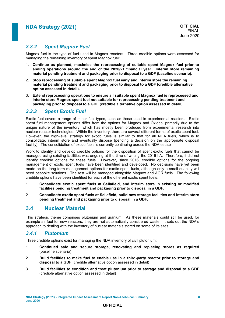### *3.3.2 Spent Magnox Fuel*

Magnox fuel is the type of fuel used in Magnox reactors. Three credible options were assessed for managing the remaining inventory of spent Magnox fuel:

- 1. **Continue as planned, maximise the reprocessing of suitable spent Magnox fuel prior to ending operations around the end of the 2020/21 financial year. Interim store remaining material pending treatment and packaging prior to disposal to a GDF (baseline scenario).**
- 2. **Stop reprocessing of suitable spent Magnox fuel early and interim store the remaining material pending treatment and packaging prior to disposal to a GDF (credible alternative option assessed in detail).**
- 3. **Extend reprocessing operations to ensure all suitable spent Magnox fuel is reprocessed and interim store Magnox spent fuel not suitable for reprocessing pending treatment and packaging prior to disposal to a GDF (credible alternative option assessed in detail).**

### *3.3.3 Spent Exotic Fuel*

Exotic fuel covers a range of minor fuel types, such as those used in experimental reactors. Exotic spent fuel management options differ from the options for Magnox and Oxides, primarily due to the unique nature of the inventory, which has mostly been produced from experimental research into nuclear reactor technologies. Within the inventory, there are several different forms of exotic spent fuel. However, the high-level strategy for exotic fuels is similar to that for all NDA fuels, which is to consolidate, interim store and eventually dispose (pending a decision on the appropriate disposal facility). The consolidation of exotic fuels is currently continuing across the NDA estate

Work to identify and develop credible options for the disposition of spent exotic fuels that cannot be managed using existing facilities was ongoing at the time of writing the 2016 IIA. Therefore, it did not identify credible options for these fuels. However, since 2016, credible options for the ongoing management of exotic spent fuels have been identified and developed. No decisions have yet been made on the long-term management options for exotic spent fuels, although only a small quantity will need bespoke solutions. The rest will be managed alongside Magnox and AGR fuels. The following credible options have been identified for each of the different exotic spent fuels:

- 1. **Consolidate exotic spent fuels at Sellafield, and interim store in existing or modified facilities pending treatment and packaging prior to disposal in a GDF.**
- 2. **Consolidate exotic spent fuels at Sellafield, build new storage facilities and interim store pending treatment and packaging prior to disposal in a GDF.**

### **3.4 Nuclear Material**

This strategic theme comprises plutonium and uranium. As these materials could still be used, for example as fuel for new reactors, they are not automatically considered waste. It sets out the NDA's approach to dealing with the inventory of nuclear materials stored on some of its sites.

### *3.4.1 Plutonium*

Three credible options exist for managing the NDA inventory of civil plutonium:

- 1. **Continued safe and secure storage, renovating and replacing stores as required** (baseline scenario)
- 2. **Build facilities to make fuel to enable use in a third-party reactor prior to storage and disposal to a GDF** (credible alternative option assessed in detail)
- 3. **Build facilities to condition and treat plutonium prior to storage and disposal to a GDF**  (credible alternative option assessed in detail)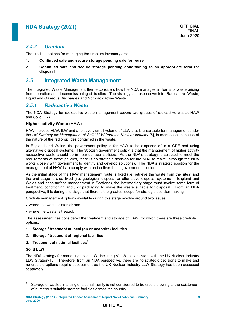### *3.4.2 Uranium*

The credible options for managing the uranium inventory are:

- 1. **Continued safe and secure storage pending sale for reuse**
- 2. **Continued safe and secure storage pending conditioning to an appropriate form for disposal**

### <span id="page-10-1"></span>**3.5 Integrated Waste Management**

The Integrated Waste Management theme considers how the NDA manages all forms of waste arising from operation and decommissioning of its sites. The strategy is broken down into: Radioactive Waste, Liquid and Gaseous Discharges and Non-radioactive Waste.

### *3.5.1 Radioactive Waste*

The NDA Strategy for radioactive waste management covers two groups of radioactive waste: HAW and Solid LLW.

#### **Higher-activity Waste (HAW)**

<span id="page-10-0"></span>HAW includes HLW, ILW and a relatively small volume of LLW that is unsuitable for management under the *UK Strategy for Management of Solid LLW from the Nuclear Industry* [5], in most cases because of the nature of the radionuclides contained in the waste.

In England and Wales, the government policy is for HAW to be disposed of in a GDF and using alternative disposal systems. The Scottish government policy is that the management of higher activity radioactive waste should be in near-surface facilities. As the NDA's strategy is selected to meet the requirements of these policies, there is no strategic decision for the NDA to make (although the NDA works closely with government to identify and develop solutions). The NDA's strategic position for the management of HAW is to comply with and deliver these government policies.

As the initial stage of the HAW management route is fixed (i.e. retrieve the waste from the sites) and the end stage is also fixed (i.e. geological disposal or alternative disposal systems in England and Wales and near-surface management in Scotland), the intermediary stage must involve some form of treatment, conditioning and / or packaging to make the waste suitable for disposal. From an NDA perspective, it is during this stage that there is the greatest scope for strategic decision-making.

Credible management options available during this stage revolve around two issues:

- where the waste is stored; and
- where the waste is treated.

The assessment has considered the treatment and storage of HAW, for which there are three credible options:

- 1. **Storage / treatment at local (on or near-site) facilities**
- 2. **Storage / treatment at regional facilities**
- 3. **Treatment at national facilities<sup>4</sup>**

#### **Solid LLW**

ÿ

The NDA strategy for managing solid LLW, including VLLW, is consistent with the UK Nuclear Industry LLW Strategy [\[5\]](#page-10-0). Therefore, from an NDA perspective, there are no strategic decisions to make and no credible options require assessment as the UK Nuclear Industry LLW Strategy has been assessed separately.

<sup>4</sup> Storage of wastes in a single national facility is not considered to be credible owing to the existence of numerous suitable storage facilities across the country.

**NDA Strategy (2021) - Integrated Impact Assessment Report Non-Technical Summary 9** June 2020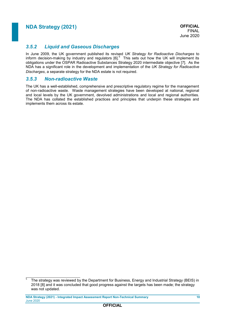### *3.5.2 Liquid and Gaseous Discharges*

<span id="page-11-1"></span>In June 2009, the UK government published its revised *UK Strategy for Radioactive Discharges* to inform decision-making by industry and regulators  $[6]$ <sup>5</sup> This sets out how the UK will implement its obligations under the OSPAR Radioactive Substances Strategy 2020 intermediate objective [7]. As the NDA has a significant role in the development and implementation of the *UK Strategy for Radioactive Discharges*, a separate strategy for the NDA estate is not required.

### <span id="page-11-0"></span>*3.5.3 Non-radioactive Waste*

The UK has a well-established, comprehensive and prescriptive regulatory regime for the management of non-radioactive waste. Waste management strategies have been developed at national, regional and local levels by the UK government, devolved administrations and local and regional authorities. The NDA has collated the established practices and principles that underpin these strategies and implements them across its estate.

 5 The strategy was reviewed by the Department for Business, Energy and Industrial Strategy (BEIS) in 2018 [\[8\]](#page-11-0) and it was concluded that good progress against the targets has been made; the strategy was not updated.

**NDA Strategy (2021) - Integrated Impact Assessment Report Non-Technical Summary 10** June 2020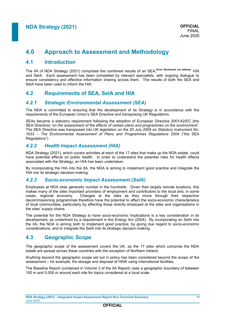# **4.0 Approach to Assessment and Methodology**

### **4.1 Introduction**

The IIA of NDA Strategy (2021) comprises the combined results of an SEA, **Error! Bookmark not defined.** HIA and SeIA. Each assessment has been completed by relevant specialists, with ongoing dialogue to ensure consistency and effective information sharing across them. The results of both the SEA and SeIA have been used to inform the HIA.

### **4.2 Requirements of SEA, SeIA and HIA**

### *4.2.1 Strategic Environmental Assessment (SEA)*

The NDA is committed to ensuring that the development of its Strategy is in accordance with the requirements of the European Union's SEA Directive and transposing UK Regulations.

SEAs became a statutory requirement following the adoption of European Directive 2001/42/EC (the SEA Directive) *'on the assessment of the effects of certain plans and programmes on the environment'*. The SEA Directive was transposed into UK legislation on the 20 July 2004 as *Statutory Instrument No. 1633 – The Environmental Assessment of Plans and Programmes Regulations 2004* ("the SEA Regulations").

### *4.2.2 Health Impact Assessment (HIA)*

NDA Strategy (2021), which covers activities at each of the 17 sites that make up the NDA estate, could have potential effects on public health. In order to understand the potential risks for health effects associated with the Strategy, an HIA has been undertaken.

By incorporating the HIA into the IIA, the NDA is aiming to implement good practice and integrate the HIA into its strategic decision-making.

#### *4.2.3 Socio-economic Impact Assessment (SeIA)*

Employees at NDA sites generally number in the hundreds. Given their largely remote locations, this makes many of the sites important providers of employment and contributors to the local and, in some cases, regional economy. Changes at the sites as they move through their respective decommissioning programmes therefore have the potential to affect the socio-economic characteristics of local communities, particularly by affecting those directly employed at the sites and organisations in the sites' supply chains.

The potential for the NDA Strategy to have socio-economic implications is a key consideration in its development, as underlined by a requirement in the Energy Act (2004). By incorporating an SeIA into the IIA, the NDA is aiming both to implement good practice, by giving due regard to socio-economic considerations, and to integrate the SeIA into its strategic decision-making.

### **4.3 Geographic Scope**

The geographic scope of the assessment covers the UK, as the 17 sites which comprise the NDA estate are spread across these countries with the exception of Northern Ireland.

Anything beyond the geographic scope set out in policy has been considered beyond the scope of the assessment – for example, the storage and disposal of HAW using international facilities.

The Baseline Report (contained in Volume 3 of the IIA Report) uses a geographic boundary of between 100 m and 5,000 m around each site for topics considered at a local scale.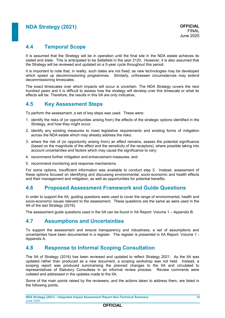### **4.4 Temporal Scope**

It is assumed that the Strategy will be in operation until the final site in the NDA estate achieves its stated end state. This is anticipated to be Sellafield in the year 2120. However, it is also assumed that the Strategy will be reviewed and updated on a 5-year cycle throughout this period.

It is important to note that, in reality, such dates are not fixed, as new technologies may be developed which speed up decommissioning programmes. Similarly, unforeseen circumstances may extend decommissioning timescales.

The exact timescales over which impacts will occur is uncertain. The NDA Strategy covers the next hundred years and it is difficult to assess how the strategy will develop over this timescale or what its effects will be. Therefore, the results in this IIA are only indicative..

### **4.5 Key Assessment Steps**

To perform the assessment, a set of key steps was used. These were:

- 1. identify the risks of (or opportunities arising from) the effects of the strategic options identified in the Strategy, and how they might occur;
- 2. identify any existing measures to meet legislative requirements and existing forms of mitigation across the NDA estate which may already address the risks;
- 3. where the risk of (or opportunity arising from) an effect remains, assess the potential significance (based on the magnitude of the effect and the sensitivity of the receptors), where possible taking into account uncertainties and factors which may cause the significance to vary;
- 4. recommend further mitigation and enhancement measures; and
- 5. recommend monitoring and response mechanisms.

For some options, insufficient information was available to conduct step 3. Instead, assessment of these options focused on identifying and discussing environmental, socio-economic and health effects and their management and mitigation, as well as opportunities for potential benefits.

### **4.6 Proposed Assessment Framework and Guide Questions**

In order to support the IIA, guiding questions were used to cover the range of environmental, health and socio-economic issues relevant to the assessment. These questions are the same as were used in the IIA of the last Strategy (2016).

The assessment guide questions used in the IIA can be found in IIA Report: Volume 1 – Appendix B.

### **4.7 Assumptions and Uncertainties**

To support the assessment and ensure transparency and robustness, a set of assumptions and uncertainties have been documented in a register. The register is presented in IIA Report: Volume 1 - Appendix A.

### **4.8 Response to Informal Scoping Consultation**

The IIA of Strategy (2016) has been reviewed and updated to reflect Strategy 2021. As the IIA was updated rather than produced as a new document, a scoping workshop was not held. Instead, a scoping report was produced summarising the planned changes to the IIA and circulated to representatives of Statutory Consultees in an informal review process. Review comments were collated and addressed in the updates made to the IIA.

Some of the main points raised by the reviewers, and the actions taken to address them, are listed in the following points.

```
NDA Strategy (2021) - Integrated Impact Assessment Report Non-Technical Summary 12
June 2020
```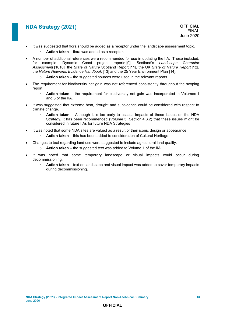- It was suggested that flora should be added as a receptor under the landscape assessment topic.
	- o **Action taken –** flora was added as a receptor.
- <span id="page-14-0"></span> A number of additional references were recommended for use in updating the IIA. These included, for example, Dynamic Coast project reports [9], Scotland's *Landscape Character Assessment* [\[1010\]](#page-14-0), the *State of Nature* Scotland Report [11], the UK *State of Nature Report* [12], the *Nature Networks Evidence Handbook* [13] and the 25 Year Environment Plan [14].
	- o **Action taken –** the suggested sources were used in the relevant reports.
- The requirement for biodiversity net gain was not referenced consistently throughout the scoping report.
	- o **Action taken –** the requirement for biodiversity net gain was incorporated in Volumes 1 and 3 of the IIA.
- It was suggested that extreme heat, drought and subsidence could be considered with respect to climate change.
	- o **Action taken** Although it is too early to assess impacts of these issues on the NDA Strategy, it has been recommended (Volume 3, Section 4.3.2) that these issues might be considered in future IIAs for future NDA Strategies
- It was noted that some NDA sites are valued as a result of their iconic design or appearance.
	- o **Action taken –** this has been added to consideration of Cultural Heritage.
- Changes to text regarding land use were suggested to include agricultural land quality.
	- o **Action taken –** the suggested text was added to Volume 1 of the IIA.
- It was noted that some temporary landscape or visual impacts could occur during decommissioning.
	- o **Action taken –** text on landscape and visual impact was added to cover temporary impacts during decommissioning.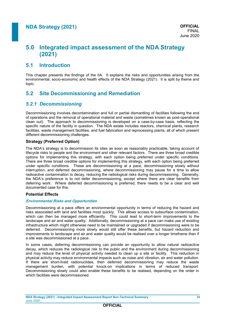# **5.0 Integrated impact assessment of the NDA Strategy (2021)**

### **5.1 Introduction**

This chapter presents the findings of the IIA. It explains the risks and opportunities arising from the environmental, socio-economic and health effects of the NDA Strategy (2021). It is split by theme and topic.

### **5.2 Site Decommissioning and Remediation**

### *5.2.1 Decommissioning*

Decommissioning involves decontamination and full or partial dismantling of facilities following the end of operations and the removal of operational material and waste (sometimes known as post-operational clean out). The approach to decommissioning is developed on a case-by-case basis, reflecting the specific nature of the facility in question. The NDA estate includes reactors, chemical plants, research facilities, waste management facilities, and fuel fabrication and reprocessing plants, all of which present different decommissioning challenges.

#### **Strategy (Preferred Option)**

The NDA's strategy is to decommission its sites as soon as reasonably practicable, taking account of lifecycle risks to people and the environment and other relevant factors. There are three broad credible options for implementing this strategy, with each option being preferred under specific conditions. There are three broad credible options for implementing this strategy, with each option being preferred under specific conditions. These are decommissioning at a pace, decommissioning slowly without interruption, and deferred decommissioning, where decommissioning may pause for a time to allow radioactive contamination to decay, reducing the radiological risks during decommissioning. Generally, the NDA's preference is to not defer decommissioning, except where there are clear benefits from deferring work. Where deferred decommissioning is preferred, there needs to be a clear and well documented case for this.

#### **Potential Effects**

#### **Environmental Risks and Opportunities**

Decommissioning at a pace offers an environmental opportunity in terms of reducing the hazard and risks associated with land and facilities most quickly. This allows access to subsurface contamination, which can then be managed more efficiently. This could lead to short-term improvements to the landscape and air and water quality. Additionally, decommissioning at a pace can make use of existing infrastructure which might otherwise need to be maintained or upgraded if decommissioning were to be deferred. Decommissioning more slowly would still offer these benefits, but hazard reduction and improvements to landscape and air and water quality would be realised over a longer timeframe than if a site was decommissioned at a pace.

In some cases, deferring decommissioning can provide an opportunity to allow natural radioactive decay, which reduces the radiological risk to the public and the environment during decommissioning and may reduce the level of physical activity needed to clean up a site or facility. This reduction in physical activity may reduce environmental impacts such as noise and vibration, air and water pollution. If there are short-lived radionuclides, then deferred decommissioning may reduce the waste management burden, with potential knock-on implications in terms of reduced transport. Decommissioning slowly could also enable these benefits to be realised, depending on the order in which facilities were decommissioned.

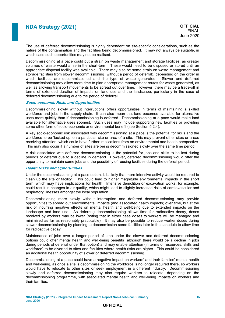The use of deferred decommissioning is highly dependent on site-specific considerations, such as the nature of the contamination and the facilities being decommissioned. It may not always be suitable, in which case such opportunities may not be realised.

Decommissioning at a pace could put a strain on waste management and storage facilities, as greater volumes of waste would arise in the short-term. These would need to be disposed or stored until an appropriate disposal facility was available. There may also be some strain on waste management and storage facilities from slower decommissioning (without a period of deferral), depending on the order in which facilities are decommissioned and the type of waste generated. Slower and deferred decommissioning may allow more time to plan appropriate management routes for waste generated, as well as allowing transport movements to be spread out over time. However, there may be a trade-off in terms of extended duration of impacts on land use and the landscape, particularly in the case of deferred decommissioning due to the period of deferral.

#### **Socio-economic Risks and Opportunities**

Decommissioning slowly without interruptions offers opportunities in terms of maintaining a skilled workforce and jobs in the supply chain. It can also mean that land becomes available for alternative uses more quickly than if decommissioning is deferred. Decommissioning at a pace would make land available for alternative uses soonest. Such uses may include supporting new facilities or providing some other form of socio-economic or environmental benefit (see Section [5.2.4\)](#page-20-0).

A key socio-economic risk associated with decommissioning at a pace is the potential for skills and the workforce to be 'locked up' on a particular site or area of a site. This may prevent other sites or areas receiving attention, which could have further implications from an environmental and health perspective. This may also occur if a number of sites are being decommissioned slowly over the same time period.

A risk associated with deferred decommissioning is the potential for jobs and skills to be lost during periods of deferral due to a decline in demand. However, deferred decommissioning would offer the opportunity to maintain some jobs and the possibility of reusing facilities during the deferral period.

#### **Health Risks and Opportunities**

Under the decommissioning at a pace option, it is likely that more intensive activity would be required to clean up the site or facility. This could lead to higher magnitude environmental impacts in the short term, which may have implications for health. Intensive demolition or excavation works, for example, could result in changes in air quality, which might lead to slightly increased risks of cardiovascular and respiratory illnesses amongst the local population.

Decommissioning more slowly without interruption and deferred decommissioning may provide opportunities to spread out environmental impacts (and associated health impacts) over time, but at the risk of incurring negative effects on mental health and well-being due to extended impacts on the landscape and land use. As deferring decommissioning allows time for radioactive decay, doses received by workers may be lower (noting that in either case doses to workers will be managed and minimised as far as reasonably practicable). It may also be possible to reduce worker doses during slower decommissioning by planning to decommission some facilities later in the schedule to allow time for radioactive decay.

Maintenance of jobs over a longer period of time under the slower and deferred decommissioning options could offer mental health and well-being benefits (although there would be a decline in jobs during periods of deferral under that option) and may enable attention (in terms of resources, skills and workforce) to be diverted to sites and facilities where health risks are higher. This could be considered an additional health opportunity of slower or deferred decommissioning.

Decommissioning at a pace could have a negative impact on workers' and their families' mental health and well-being, as once a site is decommissioning the workforce is no longer required there, so workers would have to relocate to other sites or seek employment in a different industry. Decommissioning slowly and deferred decommissioning may also require workers to relocate, depending on the decommissioning programme, with associated mental health and well-being impacts on workers and their families.

**NDA Strategy (2021) - Integrated Impact Assessment Report Non-Technical Summary 15** June 2020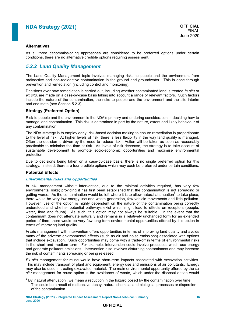#### **Alternatives**

As all three decommissioning approaches are considered to be preferred options under certain conditions, there are no alternative credible options requiring assessment.

### *5.2.2 Land Quality Management*

The Land Quality Management topic involves managing risks to people and the environment from radioactive and non-radioactive contamination in the ground and groundwater. This is done through prevention and remediation (including control and monitoring).

Decisions over how remediation is carried out, including whether contaminated land is treated *in situ* or *ex situ*, are made on a case-by-case basis taking into account a range of relevant factors. Such factors include the nature of the contamination, the risks to people and the environment and the site interim and end state (see Section [5.2.3\)](#page-18-0).

#### **Strategy (Preferred Option)**

Risk to people and the environment is the NDA's primary and enduring consideration in deciding how to manage land contamination. This risk is determined in part by the nature, extent and likely behaviour of any contamination.

The NDA strategy is to employ early, risk-based decision making to ensure remediation is proportionate to the level of risk. At higher levels of risk, there is less flexibility in the way land quality is managed. Often the decision is driven by the need to reduce risk. Action will be taken as soon as reasonably practicable to minimise the time at risk. As levels of risk decrease, the strategy is to take account of sustainable development to promote socio-economic opportunities and maximise environmental protection.

Due to decisions being taken on a case-by-case basis, there is no single preferred option for this strategy. Instead, there are four credible options which may each be preferred under certain conditions.

#### **Potential Effects**

#### **Environmental Risks and Opportunities**

*In situ* management without intervention, due to the minimal activities required, has very few environmental risks; providing it has first been established that the contamination is not spreading or getting worse. As the contamination would be left where it is to allow natural attenuation  $6$  to take place, there would be very low energy use and waste generation, few vehicle movements and little pollution. However, use of the option is highly dependent on the nature of the contamination being correctly understood and whether potential pathways exist which might lead to effects on receptors (people, water, flora and fauna). As such, this option may not always be suitable. In the event that the contaminant does not attenuate naturally and remains in a relatively unchanged form for an extended period of time, there would be very few long-term environmental opportunities offered by this option in terms of improving land quality.

*In situ* management with intervention offers opportunities in terms of improving land quality and avoids many of the adverse environmental effects (such as air and noise emissions) associated with options that include excavation. Such opportunities may come with a trade-off in terms of environmental risks in the short and medium term. For example, intervention could involve processes which use energy and generate pollutant emissions. Intervention also involves disturbing contaminants and may increase the risk of contaminants spreading or being released.

*Ex situ* management for reuse would have short-term impacts associated with excavation activities. This may include transport of plant and equipment, energy use and emissions of air pollutants. Energy may also be used in treating excavated material. The main environmental opportunity offered by the *ex situ* management for reuse option is the avoidance of waste, which under the disposal option would

 $\frac{6}{6}$  By 'natural attenuation', we mean a reduction in the hazard posed by the contamination over time. This could be a result of radioactive decay, natural chemical and biological processes or dispersion of the contamination.

**NDA Strategy (2021) - Integrated Impact Assessment Report Non-Technical Summary 16** June 2020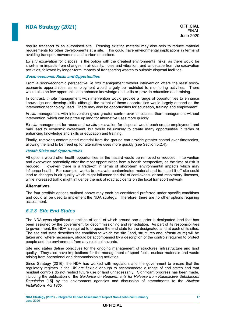require transport to an authorised site. Reusing existing material may also help to reduce material requirements for other developments at a site. This could have environmental implications in terms of avoiding transport movements and carbon emissions.

*Ex situ* excavation for disposal is the option with the greatest environmental risks, as there would be short-term impacts from changes in air quality, noise and vibration, and landscape from the excavation activities, followed by longer-term impacts of transporting wastes to suitable disposal facilities.

#### **Socio-economic Risks and Opportunities**

From a socio-economic perspective, *in situ* management without intervention offers the least socioeconomic opportunities, as employment would largely be restricted to monitoring activities. There would also be few opportunities to enhance knowledge and skills or provide education and training.

In contrast, *in situ* management with intervention would provide a range of opportunities to enhance knowledge and develop skills, although the extent of these opportunities would largely depend on the intervention technology used. There may also be opportunities for education, training and employment.

*In situ* management with intervention gives greater control over timescales than management without intervention, which can help free up land for alternative uses more quickly.

*Ex situ* management for reuse and *ex situ* excavation for disposal would each create employment and may lead to economic investment, but would be unlikely to create many opportunities in terms of enhancing knowledge and skills or education and training.

Finally, removing contaminated material from the ground can provide greater control over timescales, allowing the land to be freed up for alternative uses more quickly (see Section [5.2.4\)](#page-20-0).

#### **Health Risks and Opportunities**

All options would offer health opportunities as the hazard would be removed or reduced. Intervention and excavation potentially offer the most opportunities from a health perspective, as the time at risk is reduced. However, there is a trade-off in terms of short-term environmental impacts which may influence health. For example, works to excavate contaminated material and transport it off-site could lead to changes in air quality which might influence the risk of cardiovascular and respiratory illnesses, while increased traffic might influence the risk of road accidents on the local transport network.

#### **Alternatives**

The four credible options outlined above may each be considered preferred under specific conditions and could all be used to implement the NDA strategy. Therefore, there are no other options requiring assessment.

#### <span id="page-18-0"></span>*5.2.3 Site End States*

The NDA owns significant quantities of land, of which around one quarter is designated land that has been assigned by the government for decommissioning and remediation. As part of its responsibilities to government, the NDA is required to propose the end state for the designated land at each of its sites. The site end state describes the condition to which the site (land, structures and infrastructure) will be taken and, where necessary, should be accompanied by a description of the controls required to protect people and the environment from any residual hazards.

Site end states define objectives for the ongoing management of structures, infrastructure and land quality. They also have implications for the management of spent fuels, nuclear materials and waste arising from operational and decommissioning activities.

Since Strategy (2016), the NDA has worked with regulators and the government to ensure that the regulatory regimes in the UK are flexible enough to accommodate a range of end states and that residual controls do not restrict future use of land unnecessarily. Significant progress has been made, including the publication of the *Guidance on Requirements for Release from Radioactive Substances Regulation* [15] by the environment agencies and discussion of amendments to the *Nuclear Installations Act 1965*.

**NDA Strategy (2021) - Integrated Impact Assessment Report Non-Technical Summary 17** June 2020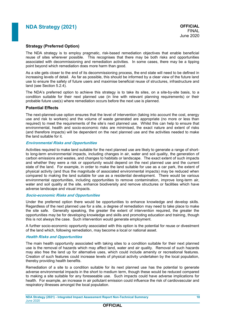#### **Strategy (Preferred Option)**

The NDA strategy is to employ pragmatic, risk-based remediation objectives that enable beneficial reuse of sites wherever possible. This recognises that there may be both risks and opportunities associated with decommissioning and remediation activities. In some cases, there may be a tipping point beyond which remediation does more harm than good.

As a site gets closer to the end of its decommissioning process, the end state will need to be defined in increasing levels of detail. As far as possible, this should be informed by a clear view of the future land use to ensure the safety of future users and maximise beneficial reuse of structures, infrastructure and land (see Section [5.2.4\)](#page-20-0).

The NDA's preferred option to achieve this strategy is to take its sites, on a site-by-site basis, to a condition suitable for their next planned use (in line with relevant planning requirements) or their probable future use(s) where remediation occurs before the next use is planned.

#### **Potential Effects**

The next-planned-use option ensures that the level of intervention (taking into account the cost, energy use and risk to workers) and the volume of waste generated are appropriate (no more or less than required) to meet the requirements of the site's next planned use. Whilst this can help to ensure that environmental, health and socio-economic risks are minimised, the exact nature and extent of risks (and therefore impacts) will be dependent on the next planned use and the activities needed to make the land suitable for it.

#### **Environmental Risks and Opportunities**

Activities required to make land suitable for the next planned use are likely to generate a range of shortto long-term environmental impacts, including changes in air, water and soil quality, the generation of carbon emissions and wastes, and changes to habitats or landscape. The exact extent of such impacts and whether they were a risk or opportunity would depend on the next planned use and the current state of the land. For example, in order to make the land suitable for use as a car park, the extent of physical activity (and thus the magnitude of associated environmental impacts) may be reduced when compared to making the land suitable for use as a residential development. There would be various environmental opportunities, including opportunities to remove contamination, improve long-term air, water and soil quality at the site, enhance biodiversity and remove structures or facilities which have adverse landscape and visual impacts.

#### **Socio-economic Risks and Opportunities**

Under the preferred option there would be opportunities to enhance knowledge and develop skills. Regardless of the next planned use for a site, a degree of remediation may need to take place to make the site safe. Generally speaking, the greater the extent of intervention required, the greater the opportunities may be for developing knowledge and skills and promoting education and training, though this is not always the case. Such intervention would generate employment.

A further socio-economic opportunity associated with this option is the potential for reuse or divestment of the land which, following remediation, may become a local or national asset.

#### **Health Risks and Opportunities**

The main health opportunity associated with taking sites to a condition suitable for their next planned use is the removal of hazards which may affect land, water and air quality. Removal of such hazards may also free the land up for alternative uses, which could include amenity or recreational features. Creation of such features could increase levels of physical activity undertaken by the local population, thereby providing health benefits.

Remediation of a site to a condition suitable for its next planned use has the potential to generate adverse environmental impacts in the short to medium term, though these would be reduced compared to making a site suitable for any foreseeable use. Such impacts could have adverse implications for health. For example, an increase in air pollutant emission could influence the risk of cardiovascular and respiratory illnesses amongst the local population.

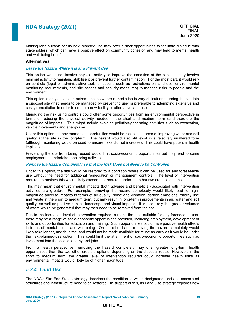Making land suitable for its next planned use may offer further opportunities to facilitate dialogue with stakeholders, which can have a positive effect on community cohesion and may lead to mental health and well-being benefits.

#### **Alternatives**

#### **Leave the Hazard Where it is and Prevent Use**

This option would not involve physical activity to improve the condition of the site, but may involve minimal activity to maintain, stabilise it or prevent further contamination. For the most part, it would rely on controls (legal or administrative tools or actions such as restrictions on land use, environmental monitoring requirements, and site access and security measures) to manage risks to people and the environment.

This option is only suitable in extreme cases where remediation is very difficult and turning the site into a disposal site (that needs to be managed by preventing use) is preferable to attempting extensive and costly remediation in order to create a new facility or alternative land use.

Managing the risk using controls could offer some opportunities from an environmental perspective in terms of reducing the physical activity needed in the short and medium term (and therefore the magnitude of impacts). This might include avoiding pollution-generating activities such as excavation, vehicle movements and energy use.

Under this option, no environmental opportunities would be realised in terms of improving water and soil quality at the site in the long-term. The hazard would also still exist in a relatively unaltered form (although monitoring would be used to ensure risks did not increase). This could have potential health implications.

Preventing the site from being reused would limit socio-economic opportunities but may lead to some employment to undertake monitoring activities.

#### **Remove the Hazard Completely so that the Risk Does not Need to be Controlled**

Under this option, the site would be restored to a condition where it can be used for any foreseeable use without the need for additional remediation or management controls. The level of intervention required to achieve this would likely exceed that required under the other two credible options.

This may mean that environmental impacts (both adverse and beneficial) associated with intervention activities are greater. For example, removing the hazard completely would likely lead to highmagnitude adverse impacts in terms of air quality, noise and vibration, carbon emissions, energy use and waste in the short to medium term, but may result in long-term improvements in air, water and soil quality, as well as positive habitat, landscape and visual impacts. It is also likely that greater volumes of waste would be generated that may then need to be removed from the site.

Due to the increased level of intervention required to make the land suitable for any foreseeable use, there may be a range of socio-economic opportunities provided, including employment, development of skills and opportunities for education and training. Such opportunities could have positive health effects in terms of mental health and well-being. On the other hand, removing the hazard completely would likely take longer, and thus the land would not be made available for reuse as early as it would be under the next-planned-use option. This could limit the attainment of socio-economic opportunities such as investment into the local economy and jobs.

From a health perspective, removing the hazard completely may offer greater long-term health opportunities than the two other credible options, depending on the disposal route. However, in the short to medium term, the greater level of intervention required could increase health risks as environmental impacts would likely be of higher magnitude.

### <span id="page-20-0"></span>*5.2.4 Land Use*

The NDA's Site End States strategy describes the condition to which designated land and associated structures and infrastructure need to be restored. In support of this, its Land Use strategy explores how

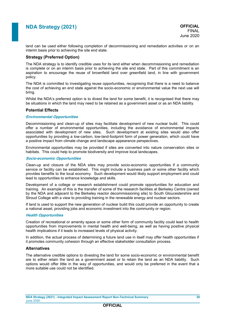land can be used either following completion of decommissioning and remediation activities or on an interim basis prior to achieving the site end state.

#### **Strategy (Preferred Option)**

The NDA strategy is to identify credible uses for its land either when decommissioning and remediation is complete or on an interim basis prior to achieving the site end state. Part of this commitment is an aspiration to encourage the reuse of brownfield land over greenfield land, in line with government policy.

The NDA is committed to investigating reuse opportunities, recognising that there is a need to balance the cost of achieving an end state against the socio-economic or environmental value the next use will bring.

Whilst the NDA's preferred option is to divest the land for some benefit, it is recognised that there may be situations in which the land may need to be retained as a government asset or as an NDA liability.

#### **Potential Effects**

#### **Environmental Opportunities**

Decommissioning and clean-up of sites may facilitate development of new nuclear build. This could offer a number of environmental opportunities, including the avoidance of environmental impacts associated with development of new sites. Such development at existing sites would also offer opportunities by providing a low-carbon, low-land-footprint form of power generation, which could have a positive impact from climate change and landscape appearance perspectives.

Environmental opportunities may be provided if sites are converted into nature conservation sites or habitats. This could help to promote biodiversity and improve local landscapes.

#### **Socio-economic Opportunities**

Clean-up and closure of the NDA sites may provide socio-economic opportunities if a community service or facility can be established. This might include a business park or some other facility which provides benefits to the local economy. Such development would likely support employment and could lead to opportunities to enhance knowledge and skills.

Development of a college or research establishment could promote opportunities for education and training. An example of this is the transfer of some of the research facilities at Berkeley Centre (owned by the NDA and adjacent to the Berkeley reactor decommissioning site) to South Gloucestershire and Stroud College with a view to providing training in the renewable energy and nuclear sectors.

If land is used to support the new generation of nuclear build this could provide an opportunity to create a national asset, providing jobs and economic investment into the community or region.

#### **Health Opportunities**

Creation of recreational or amenity space or some other form of community facility could lead to health opportunities from improvements in mental health and well-being, as well as having positive physical health implications if it leads to increased levels of physical activity.

In addition, the actual process of determining a future land use in itself may offer health opportunities if it promotes community cohesion through an effective stakeholder consultation process.

#### **Alternatives**

The alternative credible options to divesting the land for some socio-economic or environmental benefit are to either retain the land as a government asset or to retain the land as an NDA liability. Such options would offer little in the way of opportunities, and would only be preferred in the event that a more suitable use could not be identified.

### **OFFICIAL**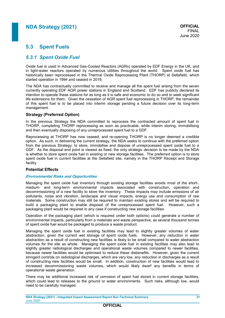### **5.3 Spent Fuels**

### *5.3.1 Spent Oxide Fuel*

Oxide fuel is used in Advanced Gas-Cooled Reactors (AGRs) operated by EDF Energy in the UK, and in light-water reactors operated by numerous utilities throughout the world. Spent oxide fuel has historically been reprocessed in the Thermal Oxide Reprocessing Plant (THORP) at Sellafield, which started operation in 1994 and ceased in 2018.

The NDA has contractually committed to receive and manage all the spent fuel arising from the seven currently operating EDF AGR power stations in England and Scotland. EDF has publicly declared its intention to operate these stations for as long as it is safe and economic to do so and to seek significant life extensions for them. Given the cessation of AGR spent fuel reprocessing in THORP, the remainder of this spent fuel is to be placed into interim storage pending a future decision over its long-term management.

#### **Strategy (Preferred Option)**

In the previous Strategy the NDA committed to reprocess the contracted amount of spent fuel in THORP, completing THORP reprocessing as soon as practicable, while interim storing, immobilising and then eventually disposing of any unreprocessed spent fuel to a GDF.

Reprocessing at THORP has now ceased, and re-opening THORP is no longer deemed a credible option. As such, in delivering the current strategy, the NDA seeks to continue with the preferred option from the previous Strategy: to store, immobilise and dispose of unreprocessed spent oxide fuel to a GDF. As the disposal end point is viewed as fixed, the only strategic decision to be made by the NDA is whether to store spent oxide fuel in existing or new storage facilities. The preferred option is to store spent oxide fuel in current facilities at the Sellafield site, namely in the THORP Receipt and Storage facility.

#### **Potential Effects**

#### **Environmental Risks and Opportunities**

Managing the spent oxide fuel inventory through existing storage facilities avoids most of the short-, medium- and long-term environmental impacts associated with construction, operation and decommissioning of a new facility to store the inventory. These impacts may include emissions of air pollutants, noise and vibration, landscape and visual impacts, energy use and consumption of raw materials. Some construction may still be required to maintain existing stores and will be required to build a packaging plant to enable disposal of the unreprocessed spent fuel. However, such a packaging plant would be required in any case if constructing new storage facilities.

Operation of the packaging plant (which is required under both options) could generate a number of environmental impacts, particularly from a materials and waste perspective, as several thousand tonnes of spent oxide fuel would be packaged to produce a waste product.

Managing the spent oxide fuel in existing facilities may lead to slightly greater volumes of water abstraction, given the current wet storage of spent oxide fuels. However, any reduction in water abstraction as a result of constructing new facilities is likely to be small compared to water abstraction volumes for the site as whole. Managing the spent oxide fuel in existing facilities may also lead to slightly greater radiological discharges and operational waste volumes compared to newer facilities, because newer facilities would be optimised to reduce these disbenefits. However, given the current stringent controls on radiological discharges, which are very low, any reduction in discharges as a result of constructing new facilities would be small. In addition, construction of new facilities would lead to increased decommissioning waste volumes, which would likely dwarf any benefits in terms of operational waste generation.

There may be additional increased risk of corrosion of spent fuel stored in current storage facilities, which could lead to releases to the ground or water environments. Such risks, although low, would need to be carefully managed.

**NDA Strategy (2021) - Integrated Impact Assessment Report Non-Technical Summary 21** June 2020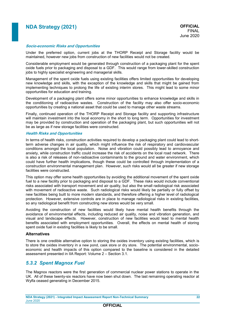#### **Socio-economic Risks and Opportunities**

Under the preferred option, current jobs at the THORP Receipt and Storage facility would be maintained, however new jobs from construction of new facilities would not be created.

Considerable employment would be generated through construction of a packaging plant for the spent oxide fuels prior to packaging and disposal to a GDF. This would range from lower-skilled construction jobs to highly specialist engineering and managerial skills.

Management of the spent oxide fuels using existing facilities offers limited opportunities for developing new knowledge and skills, with the exception of the knowledge and skills that might be gained from implementing techniques to prolong the life of existing interim stores. This might lead to some minor opportunities for education and training.

Development of a packaging plant offers some minor opportunities to enhance knowledge and skills in the conditioning of radioactive wastes. Construction of the facility may also offer socio-economic opportunities by creating a national asset that could be used to manage other waste streams.

Finally, continued operation of the THORP Receipt and Storage facility and supporting infrastructure will maintain investment into the local economy in the short to long term. Opportunities for investment may be provided by construction and operation of the packaging plant, but such opportunities will not be as large as if new storage facilities were constructed.

#### **Health Risks and Opportunities**

In terms of health risks, construction activities required to develop a packaging plant could lead to shortterm adverse changes in air quality, which might influence the risk of respiratory and cardiovascular conditions amongst the local population. Noise and vibration could possibly lead to annoyance and anxiety, while construction traffic could increase the risk of accidents on the local road network. There is also a risk of releases of non-radioactive contaminants to the ground and water environment, which could have further health implications, though these could be controlled through implementation of a construction environmental management plan. However, such risks would all be greater if new storage facilities were constructed.

This option may offer some health opportunities by avoiding the additional movement of the spent oxide fuel to a new facility prior to packaging and disposal to a GDF. These risks would include conventional risks associated with transport movement and air quality, but also the small radiological risk associated with movement of radioactive waste. Such radiological risks would likely be partially or fully offset by new facilities being built to more modern standards, and therefore offering a higher level of radiological protection. However, extensive controls are in place to manage radiological risks in existing facilities, so any radiological benefit from constructing new stores would be very small.

Avoiding the construction of new facilities would likely have mental health benefits through the avoidance of environmental effects, including reduced air quality, noise and vibration generation, and visual and landscape effects. However, construction of new facilities would lead to mental health benefits associated with employment opportunities. Overall, the effects on mental health of storing spent oxide fuel in existing facilities is likely to be small.

#### **Alternatives**

There is one credible alternative option to storing the oxides inventory using existing facilities, which is to store the oxides inventory in a new pond, cask store or dry store. The potential environmental, socioeconomic and health impacts of this option compared to the baseline is considered in the detailed assessment presented in IIA Report: Volume 2 – Section 3.1.

### *5.3.2 Spent Magnox Fuel*

The Magnox reactors were the first generation of commercial nuclear power stations to operate in the UK. All of these twenty-six reactors have now been shut down. The last remaining operating reactor at Wylfa ceased generating in December 2015.

**NDA Strategy (2021) - Integrated Impact Assessment Report Non-Technical Summary 22** June 2020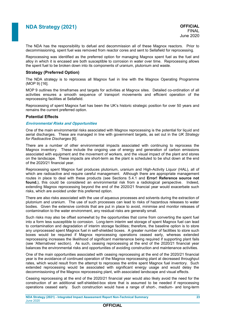The NDA has the responsibility to defuel and decommission all of these Magnox reactors. Prior to decommissioning, spent fuel was removed from reactor cores and sent to Sellafield for reprocessing.

Reprocessing was identified as the preferred option for managing Magnox spent fuel as the fuel and alloy in which it is encased are both susceptible to corrosion in water over time. Reprocessing allows the spent fuel to be broken down into its components of uranium, plutonium and waste.

#### **Strategy (Preferred Option)**

The NDA strategy is to reprocess all Magnox fuel in line with the Magnox Operating Programme (MOP 9) [16].

MOP 9 outlines the timeframes and targets for activities at Magnox sites. Detailed co-ordination of all activities ensures a smooth sequence of transport movements and efficient operation of the reprocessing facilities at Sellafield.

Reprocessing of spent Magnox fuel has been the UK's historic strategic position for over 50 years and remains the current preferred option.

#### **Potential Effects**

#### **Environmental Risks and Opportunities**

One of the main environmental risks associated with Magnox reprocessing is the potential for liquid and aerial discharges. These are managed in line with government targets, as set out in the *UK Strategy for Radioactive Discharges* [\[6\]](#page-11-1).

There are a number of other environmental impacts associated with continuing to reprocess the Magnox inventory. These include the ongoing use of energy and generation of carbon emissions associated with equipment and the movement of workers, and the visual impact of the plant and stores on the landscape. These impacts are short-term as the plant is scheduled to be shut down at the end of the 2020/21 financial year.

Reprocessing spent Magnox fuel produces plutonium, uranium and High-Activity Liquor (HAL), all of which are radioactive and require careful management. Although there are appropriate management routes in place to deal with these products (see Sections [5.4.1](#page-27-0) and **Error! Reference source not found.**), this could be considered an environmental risk from a radiological perspective. Indeed, extending Magnox reprocessing beyond the end of the 2020/21 financial year would exacerbate such risks, which are avoided under this preferred option.

There are also risks associated with the use of aqueous processes and solvents during the extraction of plutonium and uranium. The use of such processes can lead to risks of hazardous releases to water bodies. Given the extensive controls that are put in place to avoid, minimise and monitor releases of contamination to the water environment, any residual risks are generally small.

Such risks may also be offset somewhat by the opportunities that come from converting the spent fuel into a form less susceptible to corrosion. Long-term interim wet storage of spent Magnox fuel can lead to contamination and degradation of interim storage facilities; therefore, the baseline option is to store any unprocessed spent Magnox fuel in self-shielded boxes. A greater number of facilities to store such boxes would be required if Magnox reprocessing operations ceased early, whereas extended reprocessing increases the likelihood of significant maintenance being required if supporting plant fails (see 'Alternatives' section). As such, ceasing reprocessing at the end of the 2020/21 financial year balances the environmental risks and opportunities of avoiding construction and maintenance activities.

One of the main opportunities associated with ceasing reprocessing at the end of the 2020/21 financial year is the avoidance of continued operation of the Magnox reprocessing plant at decreased throughput rates, which would result from the attempt to reprocess the entire spent Magnox fuel inventory. Such extended reprocessing would be associated with significant energy usage and would delay the decommissioning of the Magnox reprocessing plant, with associated landscape and visual effects.

Ceasing reprocessing at the end of the 2020/21 financial year would also likely avoid the need for the construction of an additional self-shielded-box store that is assumed to be needed if reprocessing operations ceased early. Such construction would have a range of short-, medium- and long-term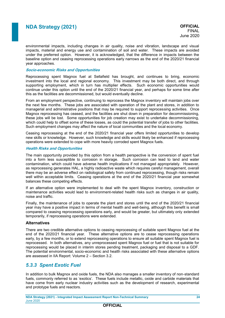environmental impacts, including changes in air quality, noise and vibration, landscape and visual impacts, material and energy use and contamination of soil and water. These impacts are avoided under the preferred option. However, it is acknowledged, that the difference in impacts between the baseline option and ceasing reprocessing operations early narrows as the end of the 2020/21 financial year approaches.

#### **Socio-economic Risks and Opportunities**

Reprocessing spent Magnox fuel at Sellafield has brought, and continues to bring, economic investment into the local and regional economy. This investment may be both direct, and through supporting employment, which in turn has multiplier effects. Such economic opportunities would continue under this option until the end of the 2020/21 financial year, and perhaps for some time after this as the facilities are decommissioned, but would eventually decline.

From an employment perspective, continuing to reprocess the Magnox inventory will maintain jobs over the next few months. These jobs are associated with operation of the plant and stores, in addition to managerial and administrative positions that may be required to support reprocessing activities. Once Magnox reprocessing has ceased, and the facilities are shut down in preparation for decommissioning, these jobs will be lost. Some opportunities for job creation may exist to undertake decommissioning, which could help to offset some of these losses, as could the potential transfer of jobs to other facilities. Such employment changes may affect the nature of local communities and the local economy.

Ceasing reprocessing at the end of the 2020/21 financial year offers limited opportunities to develop new skills or knowledge. However, such knowledge and skills would likely be enhanced if reprocessing operations were extended to cope with more heavily corroded spent Magnox fuels.

#### **Health Risks and Opportunities**

The main opportunity provided by this option from a health perspective is the conversion of spent fuel into a form less susceptible to corrosion in storage. Such corrosion can lead to land and water contamination, which could have adverse health implications if not managed appropriately. However, as reprocessing generates HAL, a highly radioactive waste which requires careful management, overall there may be an adverse effect on radiological safety from continued reprocessing, though risks remain well within acceptable limits. Ceasing operations at the end of the 2020/21 financial year somewhat balances these competing effects.

If an alternative option were implemented to deal with the spent Magnox inventory, construction or maintenance activities would lead to environment-related health risks such as changes in air quality, noise and traffic.

Finally, the maintenance of jobs to operate the plant and stores until the end of the 2020/21 financial year may have a positive impact in terms of mental health and well-being, although this benefit is small compared to ceasing reprocessing operations early, and would be greater, but ultimately only extended temporarily, if reprocessing operations were extended.

#### **Alternatives**

There are two credible alternative options to ceasing reprocessing of suitable spent Magnox fuel at the end of the 2020/21 financial year. These alternative options are to cease reprocessing operations early, by a few months, or to extend reprocessing operations to ensure all suitable spent Magnox fuel is reprocessed. In both alternatives, any unreprocessed spent Magnox fuel or fuel that is not suitable for reprocessing would be placed in interim stores pending treatment, packaging and disposal to a GDF. The potential environmental, socio-economic and health risks associated with these alternative options are assessed in IIA Report: Volume 2 – Section 3.2.

### *5.3.3 Spent Exotic Fuel*

In addition to bulk Magnox and oxide fuels, the NDA also manages a smaller inventory of non-standard fuels, commonly referred to as 'exotics'. These fuels include metallic, oxide and carbide materials that have come from early nuclear industry activities such as the development of research, experimental and prototype fuels and reactors.

**NDA Strategy (2021) - Integrated Impact Assessment Report Non-Technical Summary 24** June 2020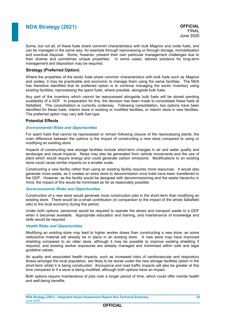Some, but not all, of these fuels share common characteristics with bulk Magnox and oxide fuels, and can be managed in the same way, for example through reprocessing or through storage, immobilisation and eventual disposal. Some, however, present their own particular management challenges due to their diverse and sometimes unique properties. In some cases, tailored solutions for long-term management and disposition may be required.

#### **Strategy (Preferred Option)**

Where the properties of the exotic fuels share common characteristics with bulk fuels such as Magnox and oxides, it may be practicable and economic to manage them using the same facilities. The NDA has therefore identified that its preferred option is to continue managing the exotic inventory using existing facilities, reprocessing the spent fuels, where possible, alongside bulk fuels.

Any part of the inventory which cannot be reprocessed alongside bulk fuels will be stored pending availability of a GDF. In preparation for this, the decision has been made to consolidate these fuels at Sellafield. This consolidation is currently underway. Following consolidation, two options have been identified for these fuels: interim store in existing or modified facilities, or interim store in new facilities. The preferred option may vary with fuel type.

#### **Potential Effects**

#### **Environmental Risks and Opportunities**

For spent fuels that cannot be reprocessed or remain following closure of the reprocessing plants, the main difference between the options is the impact of constructing a new store compared to using or modifying an existing store.

Impacts of constructing new storage facilities include short-term changes in air and water quality and landscape and visual impacts. Noise may also be generated from vehicle movements and the use of plant which would require energy and could generate carbon emissions. Modifications to an existing store could cause similar impacts on a smaller scale.

Constructing a new facility rather than using an existing facility requires more resources. It would also generate more waste, as it creates an extra store to decommission once fuels have been transferred to the GDF. However, as the facility would be designed with decommissioning and the waste hierarchy in mind, the impact of this would be minimised as far as reasonably possible.

#### **Socio-economic Risks and Opportunities**

Construction of a new store would generate more construction jobs in the short-term than modifying an existing store. There would be a small contribution (in comparison to the impact of the whole Sellafield site) to the local economy during this period.

Under both options, personnel would be required to operate the stores and transport waste to a GDF when it becomes available. Appropriate education and training, and maintenance of knowledge and skills would be required.

#### **Health Risks and Opportunities**

Modifying an existing store may lead to higher worker doses than constructing a new store, as some radioactive material will already be in place in an existing store. A new store may have improved shielding compared to an older store, although it may be possible to improve existing shielding if required, and existing worker exposures are already managed and minimised within safe and legal guideline values.

Air quality and associated health impacts, such as increased risks of cardiovascular and respiratory illness amongst the local population, are likely to be worse under the new storage facilities option in the short-term whilst it is being constructed. Annoyance and road traffic impacts will also be greater at this time compared to if a store is being modified, although both options have an impact.

Both options require maintenance of jobs over a longer period of time, which could offer mental health and well-being benefits.

**NDA Strategy (2021) - Integrated Impact Assessment Report Non-Technical Summary 25** June 2020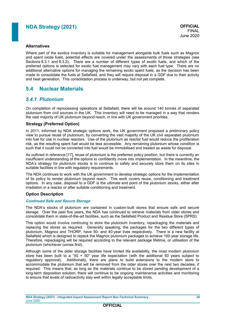#### **Alternatives**

Where part of the exotics inventory is suitable for management alongside bulk fuels such as Magnox and spent oxide fuels, potential effects are covered under the assessments of those strategies (see Sections 8.3.1 and 8.3.2). There are a number of different types of exotic fuels, and which of the preferred options is selected for exotic fuel management may vary with each fuel type. There are no additional alternative options for managing the remaining exotic spent fuels, as the decision has been made to consolidate the fuels at Sellafield, and they will require disposal in a GDF due to their activity and heat generation. This consolidation process is underway, but not yet complete.

### **5.4 Nuclear Materials**

### <span id="page-27-0"></span>*5.4.1 Plutonium*

On completion of reprocessing operations at Sellafield, there will be around 140 tonnes of separated plutonium from civil sources in the UK. This inventory will need to be managed in a way that renders the vast majority of UK plutonium beyond reach, in line with UK government priorities.

#### **Strategy (Preferred Option)**

In 2011, informed by NDA strategic options work, the UK government proposed a preliminary policy view to pursue reuse of plutonium, by converting the vast majority of the UK civil separated plutonium into fuel for use in nuclear reactors. Use of the plutonium as reactor fuel would reduce the proliferation risk, as the resulting spent fuel would be less accessible. Any remaining plutonium whose condition is such that it could not be converted into fuel would be immobilised and treated as waste for disposal.

As outlined in reference [17], reuse of plutonium is the preferred policy position, but there is currently an insufficient understanding of the options to confidently move into implementation. In the meantime, the NDA's strategy for plutonium stocks is to continue to safely and securely store them on its sites in suitable facilities in line with regulatory requirements.

The NDA continues to work with the UK government to develop strategic options for the implementation of its policy to render plutonium beyond reach. This work covers reuse, conditioning and treatment options. In any case, disposal to a GDF is the ultimate end point of the plutonium stocks, either after irradiation in a reactor or after suitable conditioning and treatment.

#### **Option Description**

#### **Continued Safe and Secure Storage**

The NDA's stocks of plutonium are contained in custom-built stores that ensure safe and secure storage. Over the past five years, the NDA has continued to retrieve materials from older stores and consolidate them in state-of-the-art facilities, such as the Sellafield Product and Residue Store (SPRS).

This option would involve continuing to store the plutonium inventory, repackaging the materials and replacing the stores as required. Generally speaking, the packages for the two different types of plutonium, Magnox and THORP, have 50- and 40-year lives respectively. There is a new facility at Sellafield which is designed to repack the Magnox plutonium packages to achieve 100-year storage life. Therefore, repackaging will be required according to the relevant package lifetime, or utilisation of the plutonium (whichever comes first).

Although some of the older storage facilities have limited life availability, the most modern plutonium store has been built to a "50 +  $50$ " year life expectation (with the additional 50 years subject to regulatory approval). Additionally, there are plans to build extensions to the modern store to accommodate the plutonium that will be removed from the older stores over the next two decades, if required. This means that, as long as the materials continue to be stored pending development of a long-term disposition solution, there will continue to be ongoing maintenance activities and monitoring to ensure that levels of radioactivity stay well within legally acceptable limits.

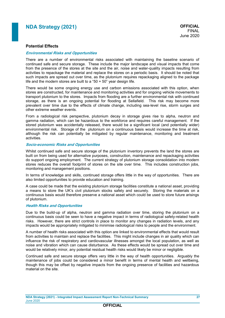#### **Potential Effects**

#### **Environmental Risks and Opportunities**

There are a number of environmental risks associated with maintaining the baseline scenario of continued safe and secure storage. These include the major landscape and visual impacts that come from the presence of the stores at the site and the air, noise and water-quality impacts resulting from activities to repackage the material and replace the stores on a periodic basis. It should be noted that such impacts are spread out over time, as the plutonium requires repackaging aligned to the package life and the modern stores are built to a "50 + 50" year design life.

There would be some ongoing energy use and carbon emissions associated with this option, when stores are constructed, for maintenance and monitoring activities and for ongoing vehicle movements to transport plutonium to the stores. Impacts from flooding are a further environmental risk with continued storage, as there is an ongoing potential for flooding at Sellafield. This risk may become more prevalent over time due to the effects of climate change, including sea-level rise, storm surges and other extreme weather events.

From a radiological risk perspective, plutonium decay in storage gives rise to alpha, neutron and gamma radiation, which can be hazardous to the workforce and requires careful management. If the stored plutonium was accidentally released, there would be a significant local (and potentially wider) environmental risk. Storage of the plutonium on a continuous basis would increase the time at risk, although the risk can potentially be mitigated by regular maintenance, monitoring and treatment activities.

#### **Socio-economic Risks and Opportunities**

Whilst continued safe and secure storage of the plutonium inventory prevents the land the stores are built on from being used for alternative purposes, construction, maintenance and repackaging activities do support ongoing employment. The current strategy of plutonium storage consolidation into modern stores reduces the overall footprint of stores on the site over time. This includes construction jobs, monitoring and management positions.

In terms of knowledge and skills, continued storage offers little in the way of opportunities. There are also limited opportunities to provide education and training.

A case could be made that the existing plutonium storage facilities constitute a national asset, providing a means to store the UK's civil plutonium stocks safely and securely. Storing the materials on a continuous basis would therefore preserve a national asset which could be used to store future arisings of plutonium.

#### **Health Risks and Opportunities**

Due to the build-up of alpha, neutron and gamma radiation over time, storing the plutonium on a continuous basis could be seen to have a negative impact in terms of radiological safety-related health risks. However, there are strict controls in place to monitor any changes in radiation levels, and any impacts would be appropriately mitigated to minimise radiological risks to people and the environment.

A number of health risks associated with this option are linked to environmental effects that would result from activities to maintain and replace the facilities. This might include changes in air quality which can influence the risk of respiratory and cardiovascular illnesses amongst the local population, as well as noise and vibration which can cause disturbance. As these effects would be spread out over time and would be relatively minor, any potential residual health risks would likely be minor or negligible.

Continued safe and secure storage offers very little in the way of health opportunities. Arguably the maintenance of jobs could be considered a minor benefit in terms of mental health and wellbeing, though this may be offset by negative impacts from the ongoing presence of facilities and hazardous material on the site.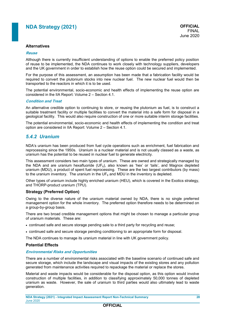#### **Alternatives**

#### **Reuse**

Although there is currently insufficient understanding of options to enable the preferred policy position of reuse to be implemented, the NDA continues to work closely with technology suppliers, developers and the UK government in order to establish how the reuse option could be secured and implemented.

For the purpose of this assessment, an assumption has been made that a fabrication facility would be required to convert the plutonium stocks into new nuclear fuel. The new nuclear fuel would then be transported to the reactors in which it is to be used.

The potential environmental, socio-economic and health effects of implementing the reuse option are considered in the IIA Report: Volume 2 – Section 4.1.

#### **Condition and Treat**

An alternative credible option to continuing to store, or reusing the plutonium as fuel, is to construct a suitable treatment facility or multiple facilities to convert the material into a safe form for disposal in a geological facility. This would also require construction of one or more suitable interim storage facilities.

The potential environmental, socio-economic and health effects of implementing the condition and treat option are considered in IIA Report: Volume 2 – Section 4.1.

#### *5.4.2 Uranium*

NDA's uranium has been produced from fuel cycle operations such as enrichment, fuel fabrication and reprocessing since the 1950s. Uranium is a nuclear material and is not usually classed as a waste, as uranium has the potential to be reused in nuclear fuel to generate electricity.

This assessment considers two main types of uranium. These are owned and strategically managed by the NDA and are uranium hexafluoride ( $UF<sub>6</sub>$ ), also known as 'hex' or 'tails', and Magnox depleted uranium (MDU), a product of spent fuel reprocessing. These are the two largest contributors (by mass) to the uranium inventory. The uranium in the  $UF_6$  and MDU in the inventory is depleted.

Other types of uranium include highly enriched uranium (HEU), which is covered in the Exotics strategy, and THORP-product uranium (TPU).

#### **Strategy (Preferred Option)**

Owing to the diverse nature of the uranium material owned by NDA, there is no single preferred management option for the whole inventory. The preferred option therefore needs to be determined on a group-by-group basis.

There are two broad credible management options that might be chosen to manage a particular group of uranium materials. These are:

- continued safe and secure storage pending sale to a third party for recycling and reuse;
- continued safe and secure storage pending conditioning to an appropriate form for disposal.

The NDA continues to manage its uranium material in line with UK government policy.

#### **Potential Effects**

#### **Environmental Risks and Opportunities**

There are a number of environmental risks associated with the baseline scenario of continued safe and secure storage, which include the landscape and visual impacts of the existing stores and any pollution generated from maintenance activities required to repackage the material or replace the stores.

Material and waste impacts would be considerable for the disposal option, as this option would involve construction of multiple facilities, in addition to classifying approximately 50,000 tonnes of depleted uranium as waste. However, the sale of uranium to third parties would also ultimately lead to waste generation.

**OFFICIAL**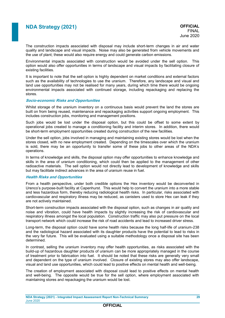The construction impacts associated with disposal may include short-term changes in air and water quality and landscape and visual impacts. Noise may also be generated from vehicle movements and the use of plant; these would also require energy and could generate carbon emissions.

Environmental impacts associated with construction would be avoided under the sell option. This option would also offer opportunities in terms of landscape and visual impacts by facilitating closure of existing facilities.

It is important to note that the sell option is highly dependent on market conditions and external factors such as the availability of technologies to use the uranium. Therefore, any landscape and visual and land use opportunities may not be realised for many years, during which time there would be ongoing environmental impacts associated with continued storage, including repackaging and replacing the stores.

#### **Socio-economic Risks and Opportunities**

Whilst storage of the uranium inventory on a continuous basis would prevent the land the stores are built on from being reused, maintenance and repackaging activities support ongoing employment. This includes construction jobs, monitoring and management positions.

Such jobs would be lost under the disposal option, but this could be offset to some extent by operational jobs created to manage a conditioning facility and interim stores. In addition, there would be short-term employment opportunities created during construction of the new facilities.

Under the sell option, jobs involved in managing and maintaining existing stores would be lost when the stores closed, with no new employment created. Depending on the timescales over which the uranium is sold, there may be an opportunity to transfer some of these jobs to other areas of the NDA's operations.

In terms of knowledge and skills, the disposal option may offer opportunities to enhance knowledge and skills in the area of uranium conditioning, which could then be applied to the management of other radioactive materials. The sell option would not directly lead to development of knowledge and skills but may facilitate indirect advances in the area of uranium reuse in fuel.

#### **Health Risks and Opportunities**

From a health perspective, under both credible options the Hex inventory would be deconverted in Urenco's purpose-built facility at Capenhurst. This would help to convert the uranium into a more stable and less hazardous form, thereby reducing radiological health risks. In particular, risks associated with cardiovascular and respiratory illness may be reduced, as canisters used to store Hex can leak if they are not actively maintained.

Short-term construction impacts associated with the disposal option, such as changes in air quality and noise and vibration, could have health impacts by slightly increasing the risk of cardiovascular and respiratory illness amongst the local population. Construction traffic may also put pressure on the local transport network which could increase the risk of road accidents and lead to increased driver stress.

Long-term, the disposal option could have some health risks because the long half-life of uranium-238 and the radiological hazard associated with its daughter products have the potential to lead to risks in the very far future. This will be evaluated using a suitable methodology once a disposal site has been determined.

In contrast, selling the uranium inventory may offer health opportunities, as risks associated with the build-up of hazardous daughter products of uranium can be more appropriately managed in the course of treatment prior to fabrication into fuel. It should be noted that these risks are generally very small and dependent on the type of uranium involved. Closure of existing stores may also offer landscape, visual and land use opportunities, which could lead to positive effects on mental health and well-being.

The creation of employment associated with disposal could lead to positive effects on mental health and well-being. The opposite would be true for the sell option, where employment associated with maintaining stores and repackaging the uranium would be lost.

**NDA Strategy (2021) - Integrated Impact Assessment Report Non-Technical Summary 29** June 2020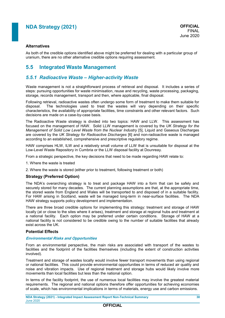#### **Alternatives**

As both of the credible options identified above might be preferred for dealing with a particular group of uranium, there are no other alternative credible options requiring assessment.

### **5.5 Integrated Waste Management**

### *5.5.1 Radioactive Waste – Higher-activity Waste*

Waste management is not a straightforward process of retrieval and disposal. It includes a series of steps: pursuing opportunities for waste minimisation, reuse and recycling, waste processing, packaging, storage, records management, transport and then, where applicable, final disposal.

Following retrieval, radioactive wastes often undergo some form of treatment to make them suitable for disposal. The technologies used to treat the wastes will vary depending on their specific The technologies used to treat the wastes will vary depending on their specific characteristics, the availability of appropriate facilities, time constraints and other relevant factors. Such decisions are made on a case-by-case basis.

The Radioactive Waste strategy is divided into two topics: HAW and LLW. This assessment has focused on the management of HAW. Solid LLW management is covered by the *UK Strategy for the Management of Solid Low Level Waste from the Nuclear Industry* [\[5\]](#page-10-0), Liquid and Gaseous Discharges are covered by the *UK Strategy for Radioactive Discharges* [\[6\]](#page-11-1) and non-radioactive waste is managed according to an established, comprehensive and prescriptive regulatory regime.

HAW comprises HLW, ILW and a relatively small volume of LLW that is unsuitable for disposal at the Low-Level Waste Repository in Cumbria or the LLW disposal facility at Dounreay.

From a strategic perspective, the key decisions that need to be made regarding HAW relate to:

1. Where the waste is treated

2. Where the waste is stored (either prior to treatment, following treatment or both)

#### **Strategy (Preferred Option)**

The NDA's overarching strategy is to treat and package HAW into a form that can be safely and securely stored for many decades. The current planning assumptions are that, at the appropriate time, the stored waste from England and Wales will be transported to and disposed of in a suitable facility. For HAW arising in Scotland, waste will be managed long-term in near-surface facilities. The NDA HAW strategy supports policy development and implementation.

There are three broad credible options for implementing this strategy: treatment and storage of HAW locally (at or close to the sites where it arises), treatment and storage at regional hubs and treatment at a national facility. Each option may be preferred under certain conditions. Storage of HAW at a national facility is not considered to be credible owing to the number of suitable facilities that already exist across the UK.

#### **Potential Effects**

#### **Environmental Risks and Opportunities**

From an environmental perspective, the main risks are associated with transport of the wastes to facilities and the footprint of the facilities themselves (including the extent of construction activities involved).

Treatment and storage of wastes locally would involve fewer transport movements than using regional or national facilities. This could provide environmental opportunities in terms of reduced air quality and noise and vibration impacts. Use of regional treatment and storage hubs would likely involve more movements than local facilities but less than the national option.

In terms of the facility footprint, the use of numerous local facilities may involve the greatest material requirements. The regional and national options therefore offer opportunities for achieving economies of scale, which has environmental implications in terms of materials, energy use and carbon emissions.

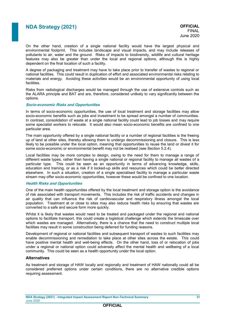FINAL June 2020

On the other hand, creation of a single national facility would have the largest physical and environmental footprint. This includes landscape and visual impacts, and may include releases of pollutants to air, water and the ground. Risks of impacts to biodiversity, wildlife and cultural heritage features may also be greater than under the local and regional options, although this is highly dependent on the final location of such a facility.

A degree of packaging and treatment may have to take place prior to transfer of wastes to regional or national facilities. This could result in duplication of effort and associated environmental risks relating to materials and energy. Avoiding these activities would be an environmental opportunity of using local **facilities** 

Risks from radiological discharges would be managed through the use of extensive controls such as the ALARA principle and BAT and are, therefore, considered unlikely to vary significantly between the options.

#### **Socio-economic Risks and Opportunities**

In terms of socio-economic opportunities, the use of local treatment and storage facilities may allow socio-economic benefits such as jobs and investment to be spread amongst a number of communities. In contrast, consolidation of waste at a single national facility could lead to job losses and may require some specialist workers to relocate. It would also mean socio-economic benefits are confined to one particular area.

The main opportunity offered by a single national facility or a number of regional facilities is the freeing up of land at other sites, thereby allowing them to undergo decommissioning and closure. This is less likely to be possible under the local option, meaning that opportunities to reuse the land or divest it for some socio-economic or environmental benefit may not be realised (see Section [5.2.4\)](#page-20-0).

Local facilities may be more complex to design, owing to the need for them to manage a range of different waste types, rather than having a single national or regional facility to manage all wastes of a particular type. This could be seen as an opportunity in terms of advancing knowledge, skills, education and training, or as a risk if it locked-up skills and resources which could be better directed elsewhere. In such a situation, creation of a single specialised facility to manage a particular waste stream may offer socio-economic opportunities, however these would be confined to one location.

#### **Health Risks and Opportunities**

One of the main health opportunities offered by the local treatment and storage option is the avoidance of risk associated with transport movements. This includes the risk of traffic accidents and changes in air quality that can influence the risk of cardiovascular and respiratory illness amongst the local population. Treatment at or close to sites may also reduce health risks by ensuring that wastes are converted to a safe and secure form more quickly.

Whilst it is likely that wastes would need to be treated and packaged under the regional and national options to facilitate transport, this could create a logistical challenge which extends the timescale over which wastes are managed. Alternatively, there is a chance that the need to construct multiple local facilities may result in some construction being deferred for funding reasons.

Development of regional or national facilities and subsequent transport of wastes to such facilities may enable decommissioning and remediation to take place at other sites across the estate. This could have positive mental health and well-being effects. On the other hand, loss of or relocation of jobs under a regional or national option could adversely affect the mental health and wellbeing of a local community. This could be seen as a health opportunity under the local option.

#### **Alternatives**

As treatment and storage of HAW locally and regionally and treatment of HAW nationally could all be considered preferred options under certain conditions, there are no alternative credible options requiring assessment.

**NDA Strategy (2021) - Integrated Impact Assessment Report Non-Technical Summary 31** June 2020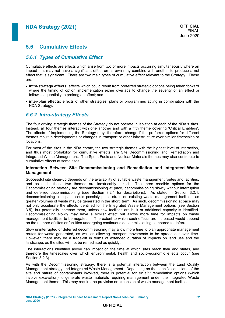### **5.6 Cumulative Effects**

### *5.6.1 Types of Cumulative Effect*

Cumulative effects are effects which arise from two or more impacts occurring simultaneously where an impact that may not have a significant effect on its own may combine with another to produce a net effect that is significant. There are two main types of cumulative effect relevant to the Strategy. These are:

- **intra-strategy effects**: effects which could result from preferred strategic options being taken forward where the timing of option implementation either overlaps to change the severity of an effect or follows sequentially to prolong an effect; and
- **inter-plan effects**: effects of other strategies, plans or programmes acting in combination with the NDA Strategy.

### *5.6.2 Intra-strategy Effects*

The four driving strategic themes of the Strategy do not operate in isolation at each of the NDA's sites. Instead, all four themes interact with one another and with a fifth theme covering 'Critical Enablers'. The effects of implementing the Strategy may, therefore, change if the preferred options for different themes result in developments or changes in transport or other infrastructure over similar timescales or locations.

For most of the sites in the NDA estate, the two strategic themes with the highest level of interaction, and thus most probability for cumulative effects, are Site Decommissioning and Remediation and Integrated Waste Management. The Spent Fuels and Nuclear Materials themes may also contribute to cumulative effects at some sites.

#### **Interaction Between Site Decommissioning and Remediation and Integrated Waste Management**

Successful site clean-up depends on the availability of suitable waste management routes and facilities, and as such, these two themes are inextricably linked. The three credible options for the Decommissioning strategy are decommissioning at pace, decommissioning slowly without interruption and deferred decommissioning (see Section [3.2.1](#page-7-0) for descriptions). As stated in Section [3.2.1,](#page-7-0) decommissioning at a pace could possibly put a strain on existing waste management facilities, as greater volumes of waste may be generated in the short term. As such, decommissioning at pace may not only accelerate the effects identified for the Integrated Waste Management options (see Section [3.5\)](#page-10-1), but potentially increase them, unless new facilities are built or additional capacity is identified. Decommissioning slowly may have a similar effect but allows more time for impacts on waste management facilities to be negated. The extent to which such effects are increased would depend on the number of sites or facilities undergoing continuous decommissioning compared to deferred.

Slow uninterrupted or deferred decommissioning may allow more time to plan appropriate management routes for waste generated, as well as allowing transport movements to be spread out over time. However, there may be a trade-off in terms of extended duration of impacts on land use and the landscape, as the sites will not be remediated as quickly.

The interactions identified above can impact on the time at which sites reach their end states, and therefore the timescales over which environmental, health and socio-economic effects occur (see Section [3.2.3\)](#page-8-0).

As with the Decommissioning strategy, there is a potential interaction between the Land Quality Management strategy and Integrated Waste Management. Depending on the specific conditions of the site and nature of contaminants involved, there is potential for *ex situ* remediation options (which involve excavation) to generate waste materials requiring management under the Integrated Waste Management theme. This may require the provision or expansion of waste management facilities.

### **OFFICIAL**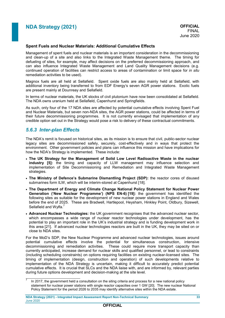#### **Spent Fuels and Nuclear Materials: Additional Cumulative Effects**

Management of spent fuels and nuclear materials is an important consideration in the decommissioning and clean-up of a site and also links to the Integrated Waste Management theme. The timing for defueling of sites, for example, may affect decisions on the preferred decommissioning approach, and can also influence Integrated Waste Management and Land Quality Management decisions (e.g. continued operation of facilities can restrict access to areas of contamination or limit space for *in situ* remediation activities to be used).

Magnox fuels are all held at Sellafield. Spent oxide fuels are also mainly held at Sellafield, with additional inventory being transferred to from EDF Energy's seven AGR power stations. Exotic fuels are present mainly at Dounreay and Sellafield.

In terms of nuclear materials, the UK stocks of civil plutonium have now been consolidated at Sellafield. The NDA owns uranium held at Sellafield, Capenhurst and Springfields.

As such, only four of the 17 NDA sites are affected by potential cumulative effects involving Spent Fuel and Nuclear Materials, but seven non-NDA sites, the AGR power stations, could be affected in terms of their future decommissioning programmes. It is not currently envisaged that implementation of any credible option set out in the Strategy would pose a risk to delivery of these contractual commitments.

### *5.6.3 Inter-plan Effects*

ÿ

The NDA's remit is focused on historical sites, as its mission is to ensure that civil, public-sector nuclear legacy sites are decommissioned safely, securely, cost-effectively and in ways that protect the environment. Other government policies and plans can influence this mission and have implications for how the NDA's Strategy is implemented. These include:

- **The UK Strategy for the Management of Solid Low Level Radioactive Waste in the nuclear industry [\[5\]](#page-10-0):** the timing and capacity of LLW management may influence selection and implementation of Site Decommissioning and Remediation and Integrated Waste Management strategies.
- **The Ministry of Defence's Submarine Dismantling Project (SDP):** the reactor cores of disused submarines form ILW, which will be interim-stored at Capenhurst [18].
- **The Department of Energy and Climate Change National Policy Statement for Nuclear Power Generation ('New Nuclear Programme') (NPS EN-6) [19]:** the government has identified the following sites as suitable for the development of new nuclear power stations in England and Wales before the end of 2025. These are Bradwell, Hartlepool, Heysham, Hinkley Point, Oldbury, Sizewell, Sellafield and Wylfa.<sup>7</sup>
- <span id="page-34-0"></span> **Advanced Nuclear Technologies:** the UK government recognises that the advanced nuclear sector, which encompasses a wide range of nuclear reactor technologies under development, has the potential to play an important role in the UK's industrial strategy and is funding development work in this area [21]. If advanced nuclear technologies reactors are built in the UK, they may be sited on or close to NDA sites.

For the MoD's SDP, the New Nuclear Programme and advanced nuclear technologies, issues around potential cumulative effects involve the potential for simultaneous construction, intensive decommissioning and remediation activities. These could require more transport capacity than currently anticipated, increase demand for nuclear skills and qualified personnel, or lead to constraints (including scheduling constraints) on options requiring facilities on existing nuclear-licensed sites. The timing of implementation (design, construction and operation) of such developments relative to implementation of the NDA Strategy is uncertain, making it difficult to accurately predict potential cumulative effects. It is crucial that SLCs and the NDA liaise with, and are informed by, relevant parties during future options development and decision-making at the site level.

<sup>7</sup> In 2017, the government held a consultation on the siting criteria and process for a new national policy statement for nuclear power stations with single reactor capacities over 1 GW [\[20\]](#page-34-0). The new nuclear National Policy Statement for the period 2026 to 2035 may identify alternative sites within the NDA estate.

**NDA Strategy (2021) - Integrated Impact Assessment Report Non-Technical Summary 33** June 2020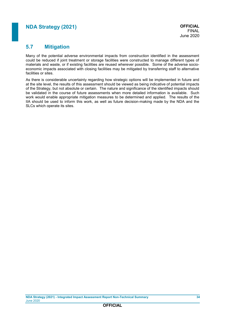### **5.7 Mitigation**

Many of the potential adverse environmental impacts from construction identified in the assessment could be reduced if joint treatment or storage facilities were constructed to manage different types of materials and waste, or if existing facilities are reused wherever possible. Some of the adverse socioeconomic impacts associated with closing facilities may be mitigated by transferring staff to alternative facilities or sites.

As there is considerable uncertainty regarding how strategic options will be implemented in future and at the site level, the results of this assessment should be viewed as being indicative of potential impacts of the Strategy, but not absolute or certain. The nature and significance of the identified impacts should be validated in the course of future assessments when more detailed information is available. Such work would enable appropriate mitigation measures to be determined and applied. The results of the IIA should be used to inform this work, as well as future decision-making made by the NDA and the SLCs which operate its sites.

**OFFICIAL**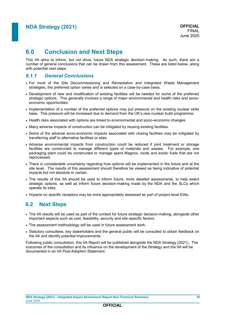# **6.0 Conclusion and Next Steps**

This IIA aims to inform, but not drive, future NDA strategic decision-making. As such, there are a number of general conclusions that can be drawn from this assessment. These are listed below, along with potential next steps.

### *6.1.1 General Conclusions*

- For most of the Site Decommissioning and Remediation and Integrated Waste Management strategies, the preferred option varies and is selected on a case-by-case basis.
- Development of new and modification of existing facilities will be needed for some of the preferred strategic options. This generally involves a range of major environmental and health risks and socioeconomic opportunities.
- Implementation of a number of the preferred options may put pressure on the existing nuclear skills base. This pressure will be increased due to demand from the UK's new nuclear build programme.
- Health risks associated with options are linked to environmental and socio-economic changes.
- Many adverse impacts of construction can be mitigated by reusing existing facilities.
- Some of the adverse socio-economic impacts associated with closing facilities may be mitigated by transferring staff to alternative facilities or sites.
- Adverse environmental impacts from construction could be reduced if joint treatment or storage facilities are constructed to manage different types of materials and wastes. For example, one packaging plant could be constructed to manage spent Magnox, oxide and exotic fuels that are not reprocessed.
- There is considerable uncertainty regarding how options will be implemented in the future and at the site level. The results of this assessment should therefore be viewed as being indicative of potential impacts but not absolute or certain.
- The results of this IIA should be used to inform future, more detailed assessments, to help select strategic options, as well as inform future decision-making made by the NDA and the SLCs which operate its sites.
- Impacts on specific receptors may be more appropriately assessed as part of project-level EIAs.

### **6.2 Next Steps**

- The IIA results will be used as part of the context for future strategic decision-making, alongside other important aspects such as cost, feasibility, security and site-specific factors.
- The assessment methodology will be used in future assessment work.
- Statutory consultees, key stakeholders and the general public will be consulted to obtain feedback on the IIA and identify potential improvements.

Following public consultation, this IIA Report will be published alongside the NDA Strategy (2021). The outcomes of the consultation and its influence on the development of the Strategy and the IIA will be documented in an IIA Post-Adoption Statement.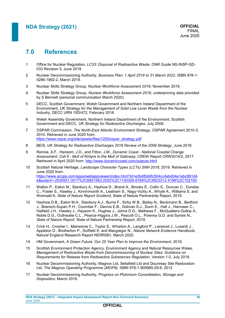# **7.0 References**

- 1 Office for Nuclear Regulation, *[LC33: Disposal of Radioactive Waste](http://www.onr.org.uk/operational/tech_insp_guides/ns-insp-gd-033.pdf)*, ONR Guide NS-INSP-GD-033 Revision 5, June 2019.
- 2 Nuclear Decommissioning Authority, *Business Plan: [1 April 2019 to 31 March 2022](https://www.gov.uk/government/consultations/nuclear-decommissioning-authority-draft-business-plan-2020-to-2023)*, ISBN 978-1- 5286-1892-2, March 2019.
- 3 Nuclear Skills Strategy Group, *[Nuclear Workforce Assessment 2019](https://www.nssguk.com/media/2018/nuclear-workforce-assessment-2019-full-report-final.pdf)*, November 2019.
- 4 Nuclear Skills Strategy Group, *Nuclear Workforce Assessment 2019*, underpinning data provided by S Bennett (personal communication March 2020).
- 5 DECC, Scottish Government, Welsh Government and Northern Ireland Department of the Environment, *[UK Strategy for the Management of Solid Low Level Waste from the Nuclear](https://www.gov.uk/government/consultations/consultation-on-an-update-of-the-uk-strategy-for-the-management-of-solid-low-level-radioactive-waste-from-the-nuclear-industry)  [Industry](https://www.gov.uk/government/consultations/consultation-on-an-update-of-the-uk-strategy-for-the-management-of-solid-low-level-radioactive-waste-from-the-nuclear-industry)*, DECC URN 15D/472, February 2016.
- 6 Welsh Assembly Government, Northern Ireland Department of the Environment, Scottish Government and DECC, *[UK Strategy for Radioactive Discharges](https://assets.publishing.service.gov.uk/government/uploads/system/uploads/attachment_data/file/249884/uk_strategy_for_radioactive_discharges.pdf)*, July 2009.
- 7 OSPAR Commission, *The North-East Atlantic Environment Strategy*, OSPAR Agreement 2010-3, 2010. Retrieved in June 2020 from: [https://www.ospar.org/site/assets/files/1200/ospar\\_strategy.pdf](https://www.ospar.org/site/assets/files/1200/ospar_strategy.pdf)
- 8 BEIS, *[UK Strategy for Radioactive Discharges 2018 Review of the 2009 Strategy](https://www.gov.uk/government/publications/uk-strategy-for-radioactive-discharges-2018-review-of-the-2009-strategy)*, June 2018.
- 9 Rennie, A.F., Hansom, J.D., and Fitton, J.M., *Dynamic Coast - National Coastal Change Assessment: Cell 6 - Mull of Kintyre to the Mull of Galloway*, CREW Report CRW2014/2, 2017. Retrieved in April 2020 from:<http://www.dynamiccoast.com/outputs.html>
- 10 Scottish Natural Heritage, *Landscape Character Types (LCTs) SNH 2019,* 2019. Retrieved in June 2020 from: [https://www.arcgis.com/apps/webappviewer/index.html?id=e3b4fbb9fc504cc4abd04e1ebc891d4](https://www.arcgis.com/apps/webappviewer/index.html?id=e3b4fbb9fc504cc4abd04e1ebc891d4e&extent=-2030551.0017%2C6851563.2052%2C1100309.6769%2C8923312.4198%2C102100) [e&extent=-2030551.0017%2C6851563.2052%2C1100309.6769%2C8923312.4198%2C102100](https://www.arcgis.com/apps/webappviewer/index.html?id=e3b4fbb9fc504cc4abd04e1ebc891d4e&extent=-2030551.0017%2C6851563.2052%2C1100309.6769%2C8923312.4198%2C102100)
- 11 Walton P., Eaton M., Stanbury A., Hayhow D., Brand A., Brooks S., Collin S., Duncan C., Dundas C., Foster S., Hawley J., Kinninmonth A., Leatham S., Nagy-Vizitiu A., Whyte A., Williams S. and Wormald K, *[State of Nature Report Scotland](https://nbn.org.uk/stateofnature2019/reports/)*, State of Nature Partnership Report, 2019.
- 12 Hayhow D.B., Eaton M.A., Stanbury A.J., Burns F., Kirby W.B., Bailey N., Beckmann B., Bedford J., Boersch-Supan P.H., Coomber F., Dennis E.B., Dolman S.J., Dunn E., Hall J., Harrower C., Hatfield J.H., Hawley J., Haysom K., Hughes J., Johns D.G., Mathews F., McQuatters-Gollop A., Noble D.G., Outhwaite C.L., Pearce-Higgins J.W., Pescott O.L., Powney G.D. and Symes N., *[State of Nature Report](https://nbn.org.uk/stateofnature2019/reports/)*, State of Nature Partnership Report, 2019.
- 13 Crick H., Crosher I., Mainstone C., Taylor S., Wharton A., Langford P., Larwood J., Lusardi J., Appleton D., Brotherton P., Duffield S. and Macgregor N., *[Nature Network Evidence Handbook](http://publications.naturalengland.org.uk/publication/6105140258144256)*, Natural England Research Report NERR081, March 2020.
- 14 HM Government, *[A Green Future: Our 25 Year Plan to Improve the Environment](https://www.gov.uk/government/publications/25-year-environment-plan)*, 2018.
- 15 Scottish Environment Protection Agency, Environment Agency and Natural Resources Wales*, [Management of Radioactive Waste from Decommissioning of Nuclear Sites: Guidance on](https://www.sepa.org.uk/media/365893/2018-07-17-grr-publication-v1-0.pdf)  [Requirements for Release from Radioactive Substances Regulation](https://www.sepa.org.uk/media/365893/2018-07-17-grr-publication-v1-0.pdf)*, Version 1.0, July 2018.
- 16 Nuclear Decommissioning Authority, Magnox Ltd, Sellafield Ltd and Dounreay Site Restoration Ltd, *[The Magnox Operating Programme \(MOP9\),](https://www.gov.uk/government/publications/magnox-operating-programme-mop-9)* ISBN 978-1-905985-29-6, 2012
- 17 Nuclear Decommissioning Authority, *[Progress on Plutonium Consolidation, Storage and](https://www.gov.uk/government/publications/progress-on-plutonium-consolidation-storage-and-disposition)  [Disposition,](https://www.gov.uk/government/publications/progress-on-plutonium-consolidation-storage-and-disposition)* March 2019.

**NDA Strategy (2021) - Integrated Impact Assessment Report Non-Technical Summary 36** June 2020